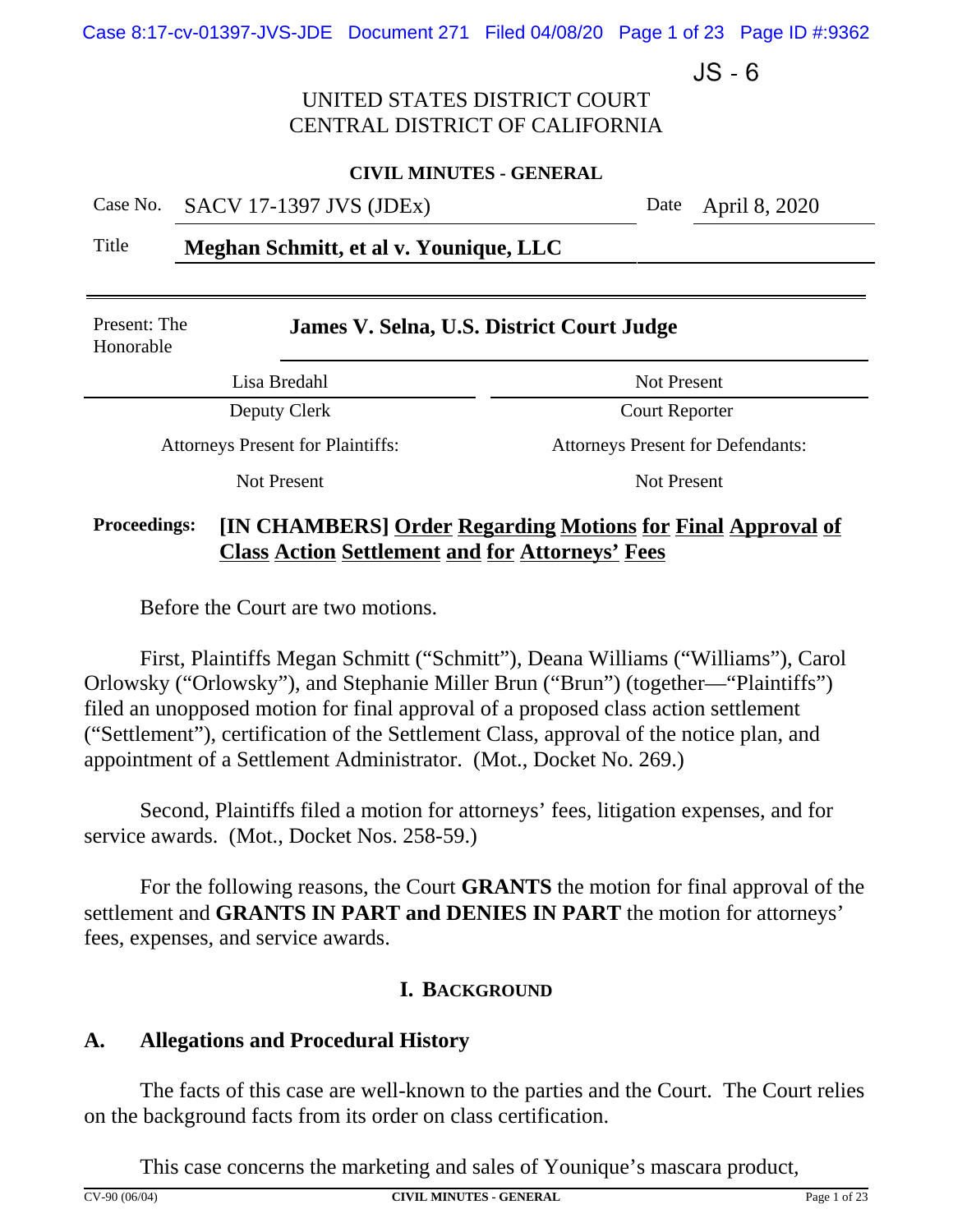Case 8:17-cv-01397-JVS-JDE Document 271 Filed 04/08/20 Page 1 of 23 Page ID #:9362

 $JS - 6$ 

## UNITED STATES DISTRICT COURT CENTRAL DISTRICT OF CALIFORNIA

#### **CIVIL MINUTES - GENERAL**

Case No. SACV 17-1397 JVS (JDEx) Date April 8, 2020

Title **Meghan Schmitt, et al v. Younique, LLC**

| Present: The<br>Honorable | James V. Selna, U.S. District Court Judge |                                          |  |
|---------------------------|-------------------------------------------|------------------------------------------|--|
|                           | Lisa Bredahl                              | Not Present                              |  |
|                           | Deputy Clerk                              | <b>Court Reporter</b>                    |  |
|                           | <b>Attorneys Present for Plaintiffs:</b>  | <b>Attorneys Present for Defendants:</b> |  |
| Not Present               |                                           | Not Present                              |  |

# **Proceedings: [IN CHAMBERS] Order Regarding Motions for Final Approval of Class Action Settlement and for Attorneys' Fees**

Before the Court are two motions.

First, Plaintiffs Megan Schmitt ("Schmitt"), Deana Williams ("Williams"), Carol Orlowsky ("Orlowsky"), and Stephanie Miller Brun ("Brun") (together—"Plaintiffs") filed an unopposed motion for final approval of a proposed class action settlement ("Settlement"), certification of the Settlement Class, approval of the notice plan, and appointment of a Settlement Administrator. (Mot., Docket No. 269.)

Second, Plaintiffs filed a motion for attorneys' fees, litigation expenses, and for service awards. (Mot., Docket Nos. 258-59.)

For the following reasons, the Court **GRANTS** the motion for final approval of the settlement and **GRANTS IN PART and DENIES IN PART** the motion for attorneys' fees, expenses, and service awards.

## **I. BACKGROUND**

## **A. Allegations and Procedural History**

The facts of this case are well-known to the parties and the Court. The Court relies on the background facts from its order on class certification.

This case concerns the marketing and sales of Younique's mascara product,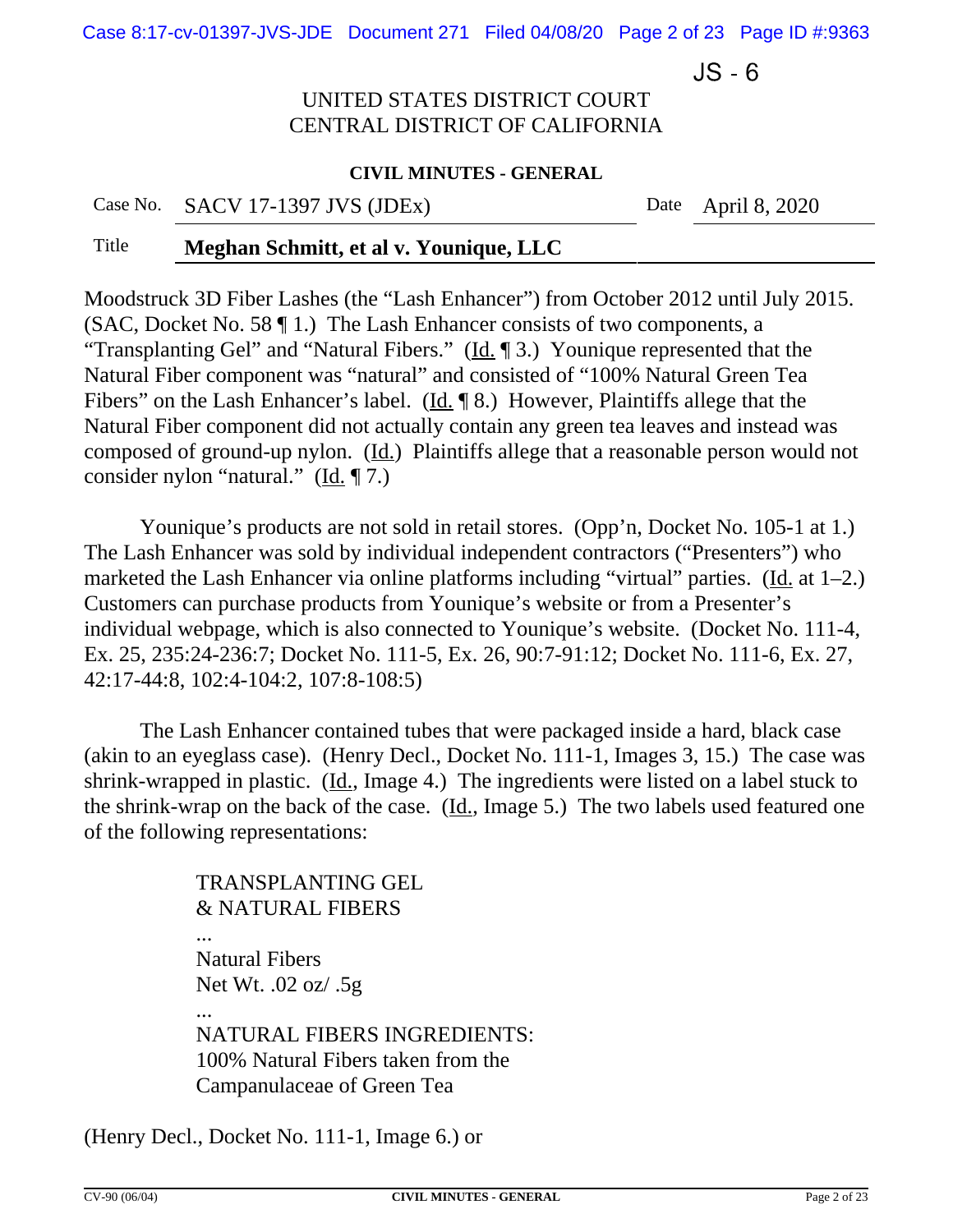Case 8:17-cv-01397-JVS-JDE Document 271 Filed 04/08/20 Page 2 of 23 Page ID #:9363

 $JS - 6$ 

# UNITED STATES DISTRICT COURT CENTRAL DISTRICT OF CALIFORNIA

#### **CIVIL MINUTES - GENERAL**

Case No. SACV 17-1397 JVS (JDEx) Date April 8, 2020

### Title **Meghan Schmitt, et al v. Younique, LLC**

Moodstruck 3D Fiber Lashes (the "Lash Enhancer") from October 2012 until July 2015. (SAC, Docket No. 58 ¶ 1.) The Lash Enhancer consists of two components, a "Transplanting Gel" and "Natural Fibers." (Id.  $\parallel$  3.) Younique represented that the Natural Fiber component was "natural" and consisted of "100% Natural Green Tea Fibers" on the Lash Enhancer's label. (Id. ¶ 8.) However, Plaintiffs allege that the Natural Fiber component did not actually contain any green tea leaves and instead was composed of ground-up nylon. (Id.) Plaintiffs allege that a reasonable person would not consider nylon "natural." ( $\underline{Id}$ .  $\P$ 7.)

Younique's products are not sold in retail stores. (Opp'n, Docket No. 105-1 at 1.) The Lash Enhancer was sold by individual independent contractors ("Presenters") who marketed the Lash Enhancer via online platforms including "virtual" parties. (Id. at  $1-2$ .) Customers can purchase products from Younique's website or from a Presenter's individual webpage, which is also connected to Younique's website. (Docket No. 111-4, Ex. 25, 235:24-236:7; Docket No. 111-5, Ex. 26, 90:7-91:12; Docket No. 111-6, Ex. 27, 42:17-44:8, 102:4-104:2, 107:8-108:5)

The Lash Enhancer contained tubes that were packaged inside a hard, black case (akin to an eyeglass case). (Henry Decl., Docket No. 111-1, Images 3, 15.) The case was shrink-wrapped in plastic. (Id., Image 4.) The ingredients were listed on a label stuck to the shrink-wrap on the back of the case.  $(\underline{Id.}, \text{Image 5.})$  The two labels used featured one of the following representations:

> TRANSPLANTING GEL & NATURAL FIBERS Natural Fibers Net Wt. .02 oz/ .5g ... NATURAL FIBERS INGREDIENTS: 100% Natural Fibers taken from the Campanulaceae of Green Tea

(Henry Decl., Docket No. 111-1, Image 6.) or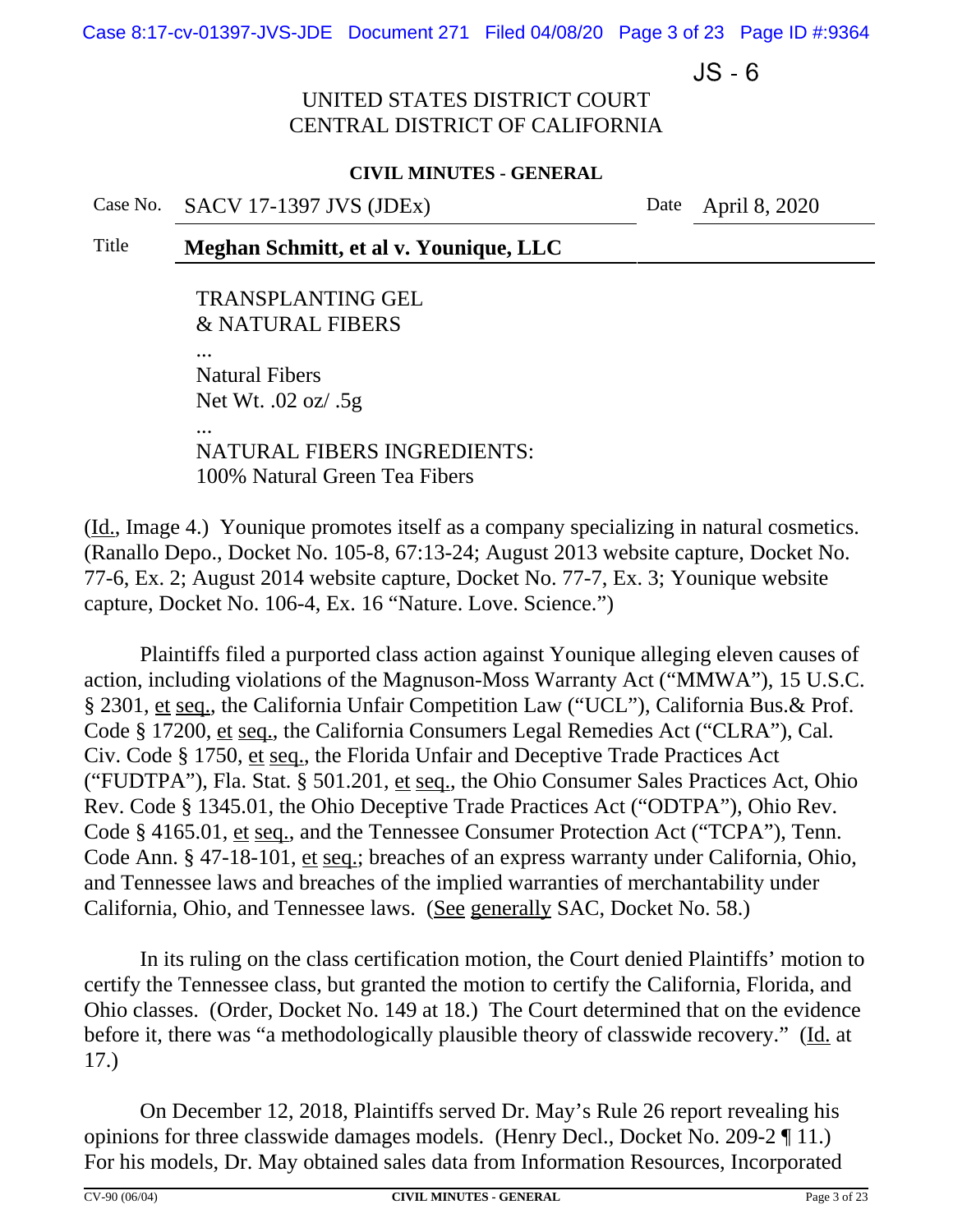Case 8:17-cv-01397-JVS-JDE Document 271 Filed 04/08/20 Page 3 of 23 Page ID #:9364

 $JS - 6$ 

## UNITED STATES DISTRICT COURT CENTRAL DISTRICT OF CALIFORNIA

#### **CIVIL MINUTES - GENERAL**

Case No. SACV 17-1397 JVS (JDEx) Date April 8, 2020

## Title **Meghan Schmitt, et al v. Younique, LLC**

TRANSPLANTING GEL & NATURAL FIBERS

... Natural Fibers Net Wt. .02 oz/ .5g

... NATURAL FIBERS INGREDIENTS: 100% Natural Green Tea Fibers

(Id., Image 4.) Younique promotes itself as a company specializing in natural cosmetics. (Ranallo Depo., Docket No. 105-8, 67:13-24; August 2013 website capture, Docket No. 77-6, Ex. 2; August 2014 website capture, Docket No. 77-7, Ex. 3; Younique website capture, Docket No. 106-4, Ex. 16 "Nature. Love. Science.")

Plaintiffs filed a purported class action against Younique alleging eleven causes of action, including violations of the Magnuson-Moss Warranty Act ("MMWA"), 15 U.S.C. § 2301, et seq., the California Unfair Competition Law ("UCL"), California Bus.& Prof. Code § 17200, et seq., the California Consumers Legal Remedies Act ("CLRA"), Cal. Civ. Code § 1750, et seq., the Florida Unfair and Deceptive Trade Practices Act ("FUDTPA"), Fla. Stat. § 501.201, et seq., the Ohio Consumer Sales Practices Act, Ohio Rev. Code § 1345.01, the Ohio Deceptive Trade Practices Act ("ODTPA"), Ohio Rev. Code § 4165.01, et seq., and the Tennessee Consumer Protection Act ("TCPA"), Tenn. Code Ann. § 47-18-101, et seq.; breaches of an express warranty under California, Ohio, and Tennessee laws and breaches of the implied warranties of merchantability under California, Ohio, and Tennessee laws. (See generally SAC, Docket No. 58.)

In its ruling on the class certification motion, the Court denied Plaintiffs' motion to certify the Tennessee class, but granted the motion to certify the California, Florida, and Ohio classes. (Order, Docket No. 149 at 18.) The Court determined that on the evidence before it, there was "a methodologically plausible theory of classwide recovery." (Id. at 17.)

On December 12, 2018, Plaintiffs served Dr. May's Rule 26 report revealing his opinions for three classwide damages models. (Henry Decl., Docket No. 209-2 ¶ 11.) For his models, Dr. May obtained sales data from Information Resources, Incorporated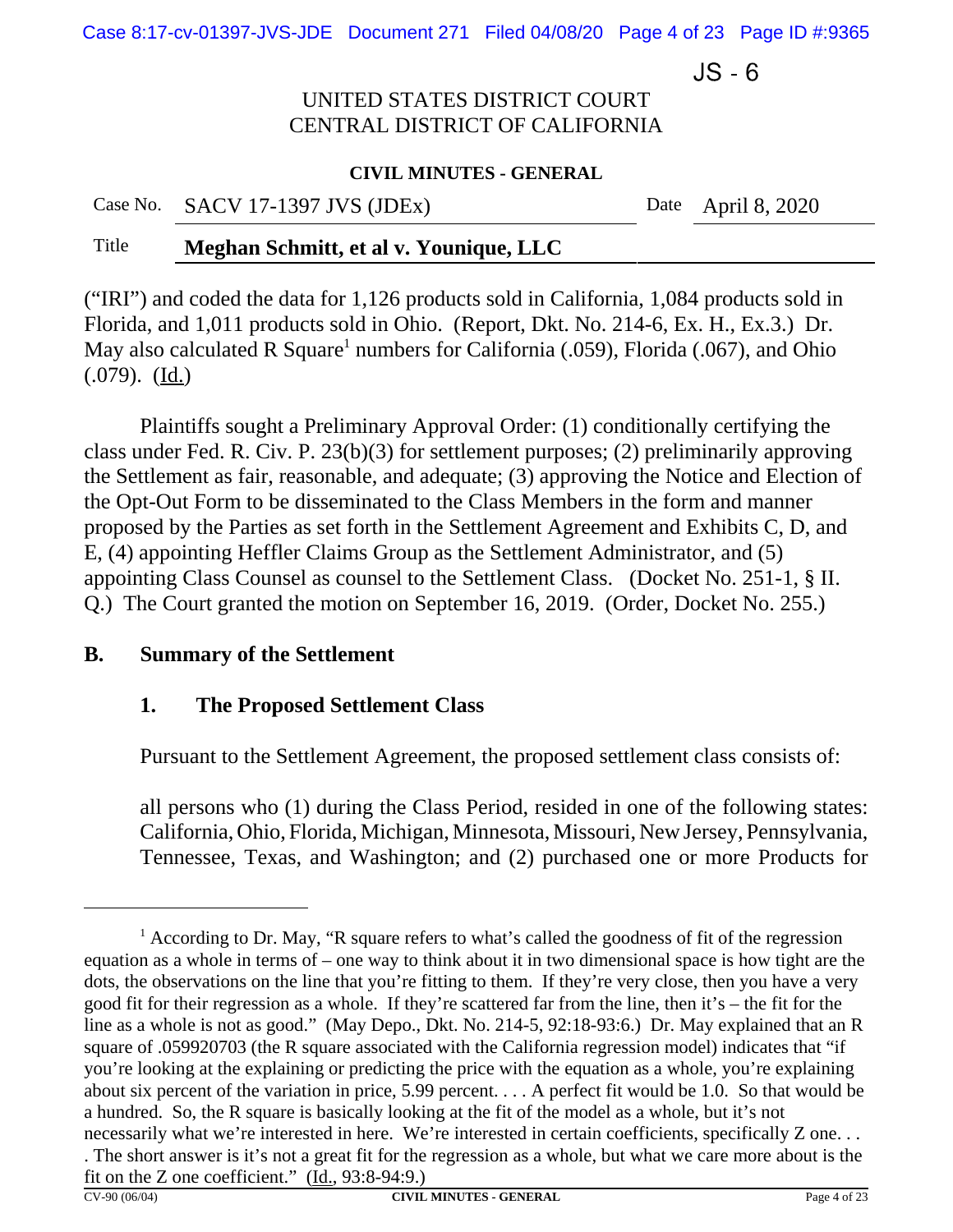Case 8:17-cv-01397-JVS-JDE Document 271 Filed 04/08/20 Page 4 of 23 Page ID #:9365

 $JS - 6$ 

# UNITED STATES DISTRICT COURT CENTRAL DISTRICT OF CALIFORNIA

#### **CIVIL MINUTES - GENERAL**

Case No. SACV 17-1397 JVS (JDEx) Date April 8, 2020

# Title **Meghan Schmitt, et al v. Younique, LLC**

("IRI") and coded the data for 1,126 products sold in California, 1,084 products sold in Florida, and 1,011 products sold in Ohio. (Report, Dkt. No. 214-6, Ex. H., Ex.3.) Dr. May also calculated R Square<sup>1</sup> numbers for California (.059), Florida (.067), and Ohio  $(.079)$ .  $(\underline{Id.})$ 

Plaintiffs sought a Preliminary Approval Order: (1) conditionally certifying the class under Fed. R. Civ. P. 23(b)(3) for settlement purposes; (2) preliminarily approving the Settlement as fair, reasonable, and adequate; (3) approving the Notice and Election of the Opt-Out Form to be disseminated to the Class Members in the form and manner proposed by the Parties as set forth in the Settlement Agreement and Exhibits C, D, and E, (4) appointing Heffler Claims Group as the Settlement Administrator, and (5) appointing Class Counsel as counsel to the Settlement Class. (Docket No. 251-1, § II. Q.) The Court granted the motion on September 16, 2019. (Order, Docket No. 255.)

## **B. Summary of the Settlement**

# **1. The Proposed Settlement Class**

Pursuant to the Settlement Agreement, the proposed settlement class consists of:

all persons who (1) during the Class Period, resided in one of the following states: California, Ohio, Florida, Michigan, Minnesota, Missouri, New Jersey, Pennsylvania, Tennessee, Texas, and Washington; and (2) purchased one or more Products for

<sup>&</sup>lt;sup>1</sup> According to Dr. May, "R square refers to what's called the goodness of fit of the regression equation as a whole in terms of – one way to think about it in two dimensional space is how tight are the dots, the observations on the line that you're fitting to them. If they're very close, then you have a very good fit for their regression as a whole. If they're scattered far from the line, then it's – the fit for the line as a whole is not as good." (May Depo., Dkt. No. 214-5, 92:18-93:6.) Dr. May explained that an R square of .059920703 (the R square associated with the California regression model) indicates that "if you're looking at the explaining or predicting the price with the equation as a whole, you're explaining about six percent of the variation in price, 5.99 percent. . . . A perfect fit would be 1.0. So that would be a hundred. So, the R square is basically looking at the fit of the model as a whole, but it's not necessarily what we're interested in here. We're interested in certain coefficients, specifically Z one. . . . The short answer is it's not a great fit for the regression as a whole, but what we care more about is the fit on the Z one coefficient." (Id., 93:8-94:9.)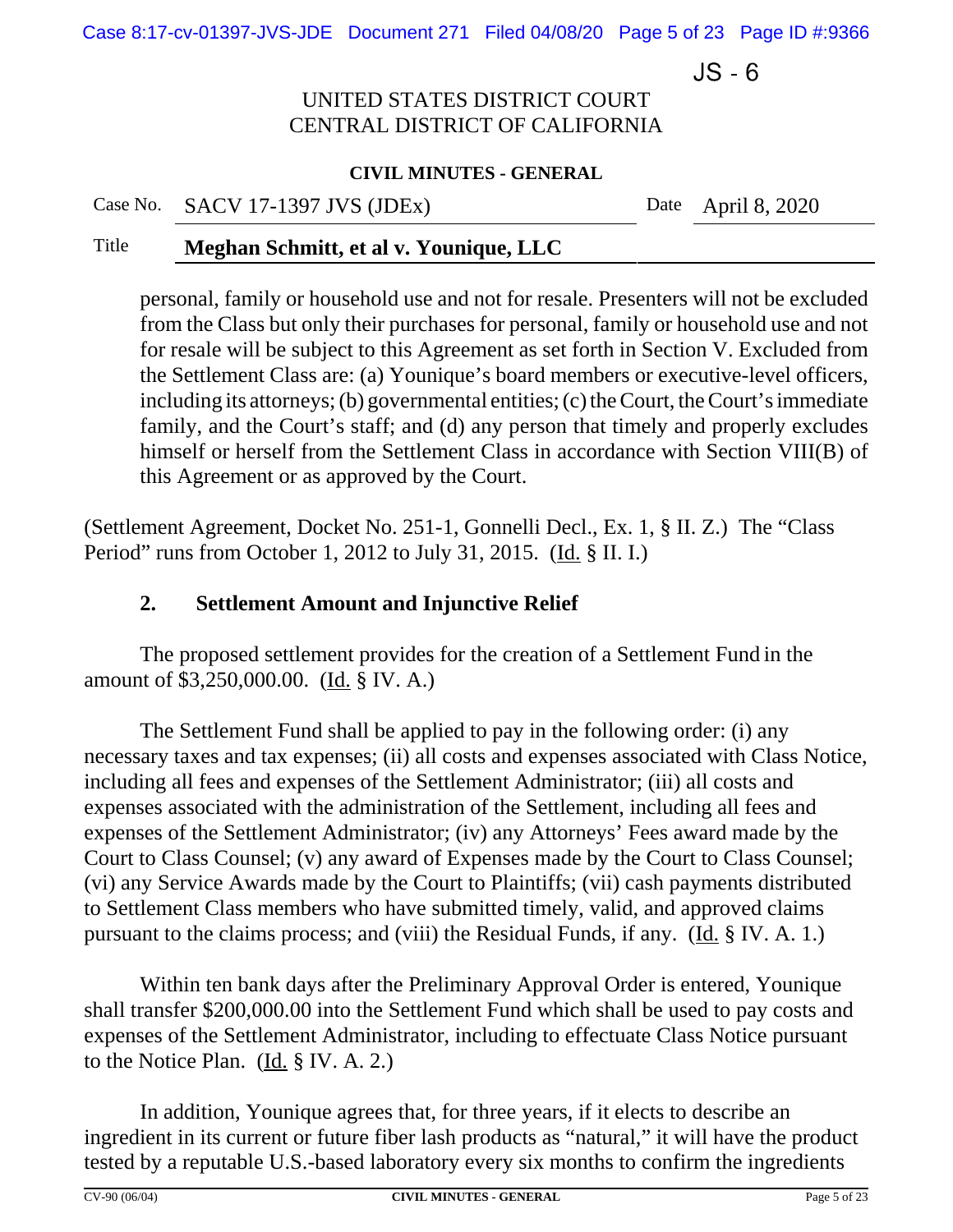Case 8:17-cv-01397-JVS-JDE Document 271 Filed 04/08/20 Page 5 of 23 Page ID #:9366

 $JS - 6$ 

# UNITED STATES DISTRICT COURT CENTRAL DISTRICT OF CALIFORNIA

#### **CIVIL MINUTES - GENERAL**

Case No. SACV 17-1397 JVS (JDEx) Date April 8, 2020

### Title **Meghan Schmitt, et al v. Younique, LLC**

personal, family or household use and not for resale. Presenters will not be excluded from the Class but only their purchases for personal, family or household use and not for resale will be subject to this Agreement as set forth in Section V. Excluded from the Settlement Class are: (a) Younique's board members or executive-level officers, including its attorneys; (b) governmental entities; (c) the Court, the Court's immediate family, and the Court's staff; and (d) any person that timely and properly excludes himself or herself from the Settlement Class in accordance with Section VIII(B) of this Agreement or as approved by the Court.

(Settlement Agreement, Docket No. 251-1, Gonnelli Decl., Ex. 1, § II. Z.) The "Class Period" runs from October 1, 2012 to July 31, 2015. (Id. § II. I.)

# **2. Settlement Amount and Injunctive Relief**

The proposed settlement provides for the creation of a Settlement Fund in the amount of \$3,250,000.00. (Id. § IV. A.)

The Settlement Fund shall be applied to pay in the following order: (i) any necessary taxes and tax expenses; (ii) all costs and expenses associated with Class Notice, including all fees and expenses of the Settlement Administrator; (iii) all costs and expenses associated with the administration of the Settlement, including all fees and expenses of the Settlement Administrator; (iv) any Attorneys' Fees award made by the Court to Class Counsel; (v) any award of Expenses made by the Court to Class Counsel; (vi) any Service Awards made by the Court to Plaintiffs; (vii) cash payments distributed to Settlement Class members who have submitted timely, valid, and approved claims pursuant to the claims process; and (viii) the Residual Funds, if any. (Id. § IV. A. 1.)

Within ten bank days after the Preliminary Approval Order is entered, Younique shall transfer \$200,000.00 into the Settlement Fund which shall be used to pay costs and expenses of the Settlement Administrator, including to effectuate Class Notice pursuant to the Notice Plan. (Id. § IV. A. 2.)

In addition, Younique agrees that, for three years, if it elects to describe an ingredient in its current or future fiber lash products as "natural," it will have the product tested by a reputable U.S.-based laboratory every six months to confirm the ingredients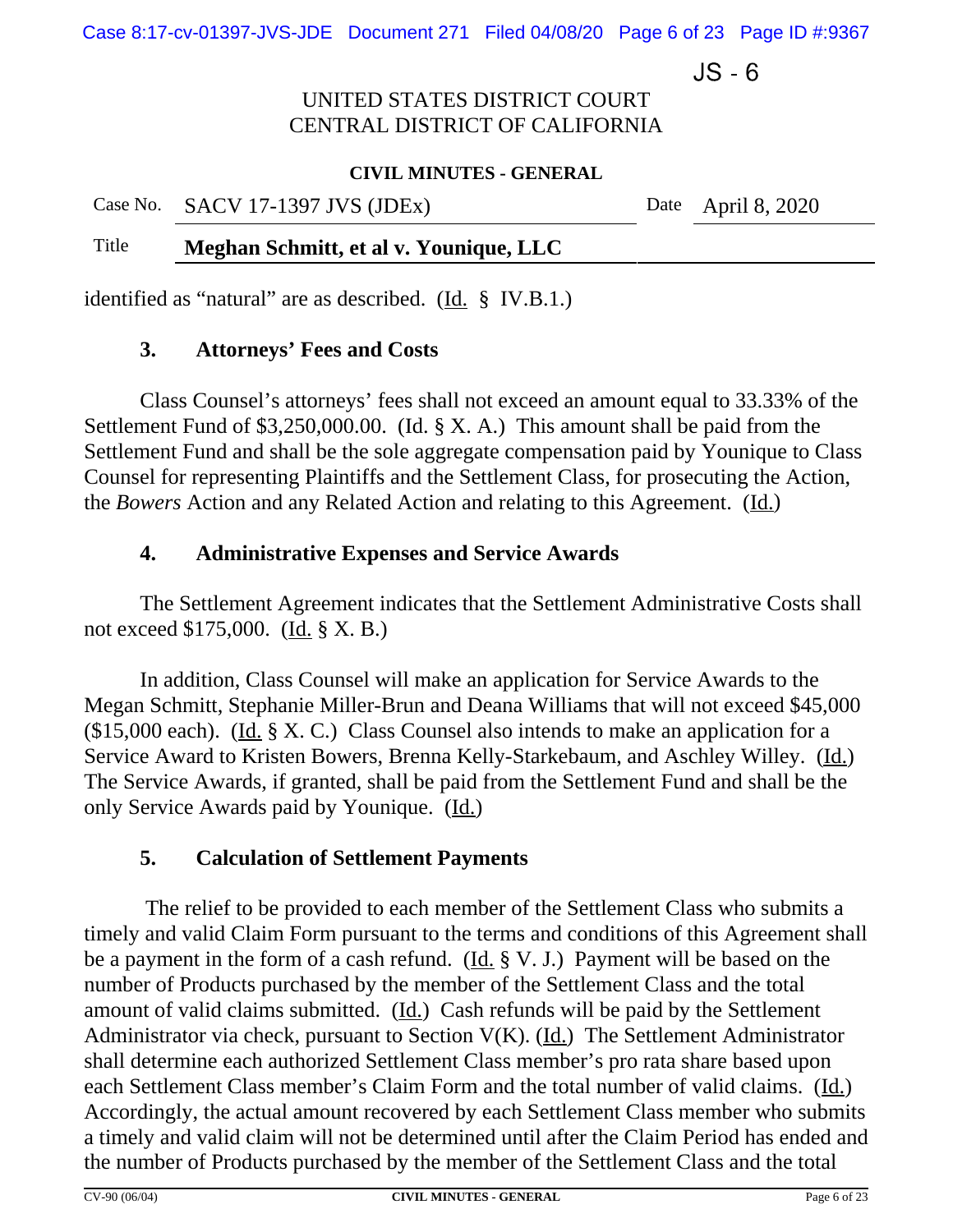Case 8:17-cv-01397-JVS-JDE Document 271 Filed 04/08/20 Page 6 of 23 Page ID #:9367

 $JS - 6$ 

# UNITED STATES DISTRICT COURT CENTRAL DISTRICT OF CALIFORNIA

#### **CIVIL MINUTES - GENERAL**

Case No. SACV 17-1397 JVS (JDEx) Date April 8, 2020

## Title **Meghan Schmitt, et al v. Younique, LLC**

identified as "natural" are as described. (Id. § IV.B.1.)

# **3. Attorneys' Fees and Costs**

Class Counsel's attorneys' fees shall not exceed an amount equal to 33.33% of the Settlement Fund of \$3,250,000.00. (Id. § X. A.) This amount shall be paid from the Settlement Fund and shall be the sole aggregate compensation paid by Younique to Class Counsel for representing Plaintiffs and the Settlement Class, for prosecuting the Action, the *Bowers* Action and any Related Action and relating to this Agreement. (Id.)

# **4. Administrative Expenses and Service Awards**

The Settlement Agreement indicates that the Settlement Administrative Costs shall not exceed \$175,000. (Id. § X. B.)

In addition, Class Counsel will make an application for Service Awards to the Megan Schmitt, Stephanie Miller-Brun and Deana Williams that will not exceed \$45,000 (\$15,000 each). (Id. § X. C.) Class Counsel also intends to make an application for a Service Award to Kristen Bowers, Brenna Kelly-Starkebaum, and Aschley Willey. (Id.) The Service Awards, if granted, shall be paid from the Settlement Fund and shall be the only Service Awards paid by Younique. (Id.)

# **5. Calculation of Settlement Payments**

 The relief to be provided to each member of the Settlement Class who submits a timely and valid Claim Form pursuant to the terms and conditions of this Agreement shall be a payment in the form of a cash refund. (Id. § V. J.) Payment will be based on the number of Products purchased by the member of the Settlement Class and the total amount of valid claims submitted. (Id.) Cash refunds will be paid by the Settlement Administrator via check, pursuant to Section V(K). (Id.) The Settlement Administrator shall determine each authorized Settlement Class member's pro rata share based upon each Settlement Class member's Claim Form and the total number of valid claims. (Id.) Accordingly, the actual amount recovered by each Settlement Class member who submits a timely and valid claim will not be determined until after the Claim Period has ended and the number of Products purchased by the member of the Settlement Class and the total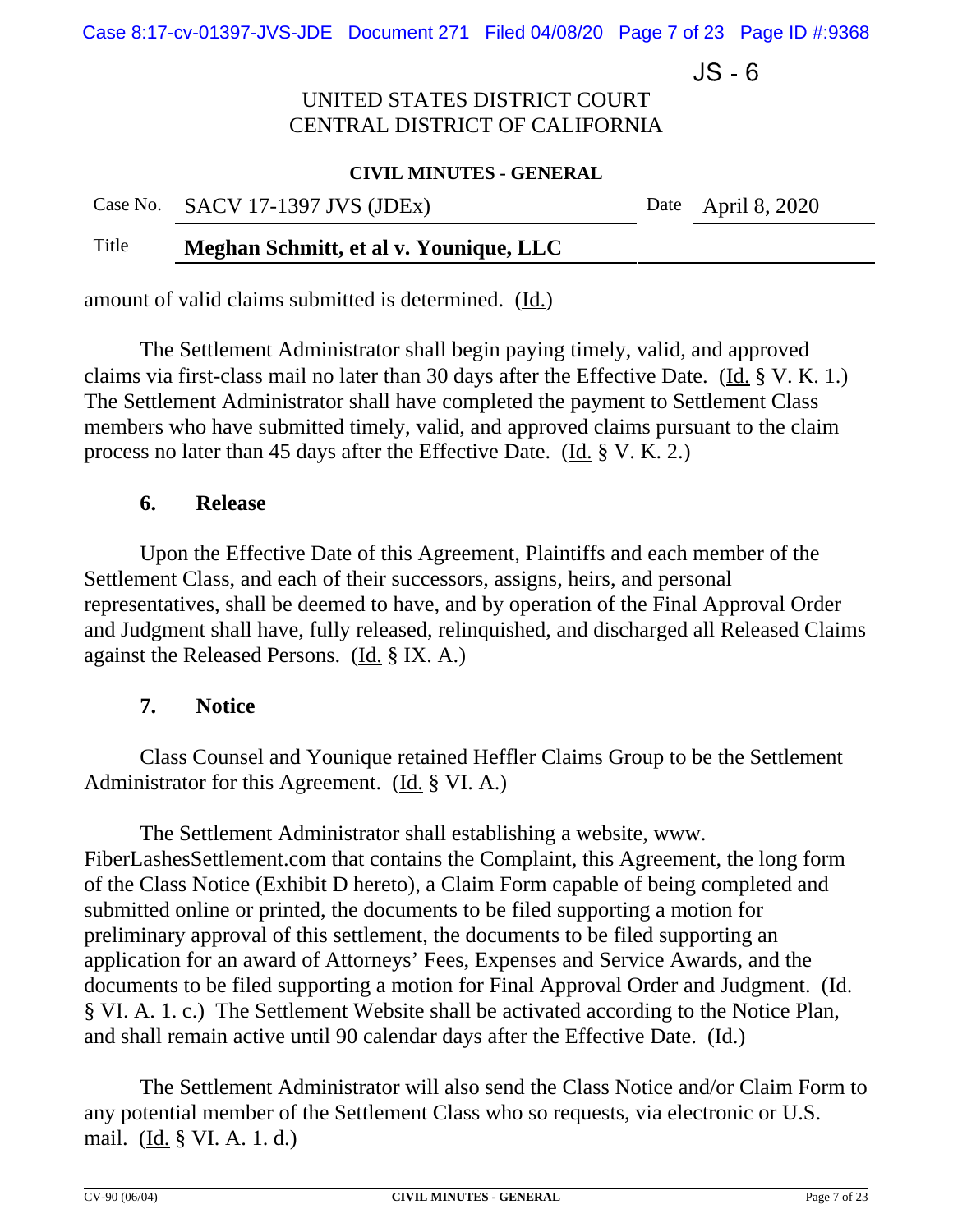Case 8:17-cv-01397-JVS-JDE Document 271 Filed 04/08/20 Page 7 of 23 Page ID #:9368

 $JS - 6$ 

# UNITED STATES DISTRICT COURT CENTRAL DISTRICT OF CALIFORNIA

#### **CIVIL MINUTES - GENERAL**

|       | Case No. $SACV$ 17-1397 JVS (JDEx)     | Date April 8, 2020 |
|-------|----------------------------------------|--------------------|
| Title | Meghan Schmitt, et al v. Younique, LLC |                    |

amount of valid claims submitted is determined.(Id.)

The Settlement Administrator shall begin paying timely, valid, and approved claims via first-class mail no later than 30 days after the Effective Date.(Id. § V. K. 1.) The Settlement Administrator shall have completed the payment to Settlement Class members who have submitted timely, valid, and approved claims pursuant to the claim process no later than 45 days after the Effective Date. (Id. § V. K. 2.)

# **6. Release**

Upon the Effective Date of this Agreement, Plaintiffs and each member of the Settlement Class, and each of their successors, assigns, heirs, and personal representatives, shall be deemed to have, and by operation of the Final Approval Order and Judgment shall have, fully released, relinquished, and discharged all Released Claims against the Released Persons. (Id. § IX. A.)

## **7. Notice**

Class Counsel and Younique retained Heffler Claims Group to be the Settlement Administrator for this Agreement. (Id. § VI. A.)

The Settlement Administrator shall establishing a website, www. FiberLashesSettlement.com that contains the Complaint, this Agreement, the long form of the Class Notice (Exhibit D hereto), a Claim Form capable of being completed and submitted online or printed, the documents to be filed supporting a motion for preliminary approval of this settlement, the documents to be filed supporting an application for an award of Attorneys' Fees, Expenses and Service Awards, and the documents to be filed supporting a motion for Final Approval Order and Judgment. (Id. § VI. A. 1. c.) The Settlement Website shall be activated according to the Notice Plan, and shall remain active until 90 calendar days after the Effective Date. (Id.)

The Settlement Administrator will also send the Class Notice and/or Claim Form to any potential member of the Settlement Class who so requests, via electronic or U.S. mail. (Id. § VI. A. 1. d.)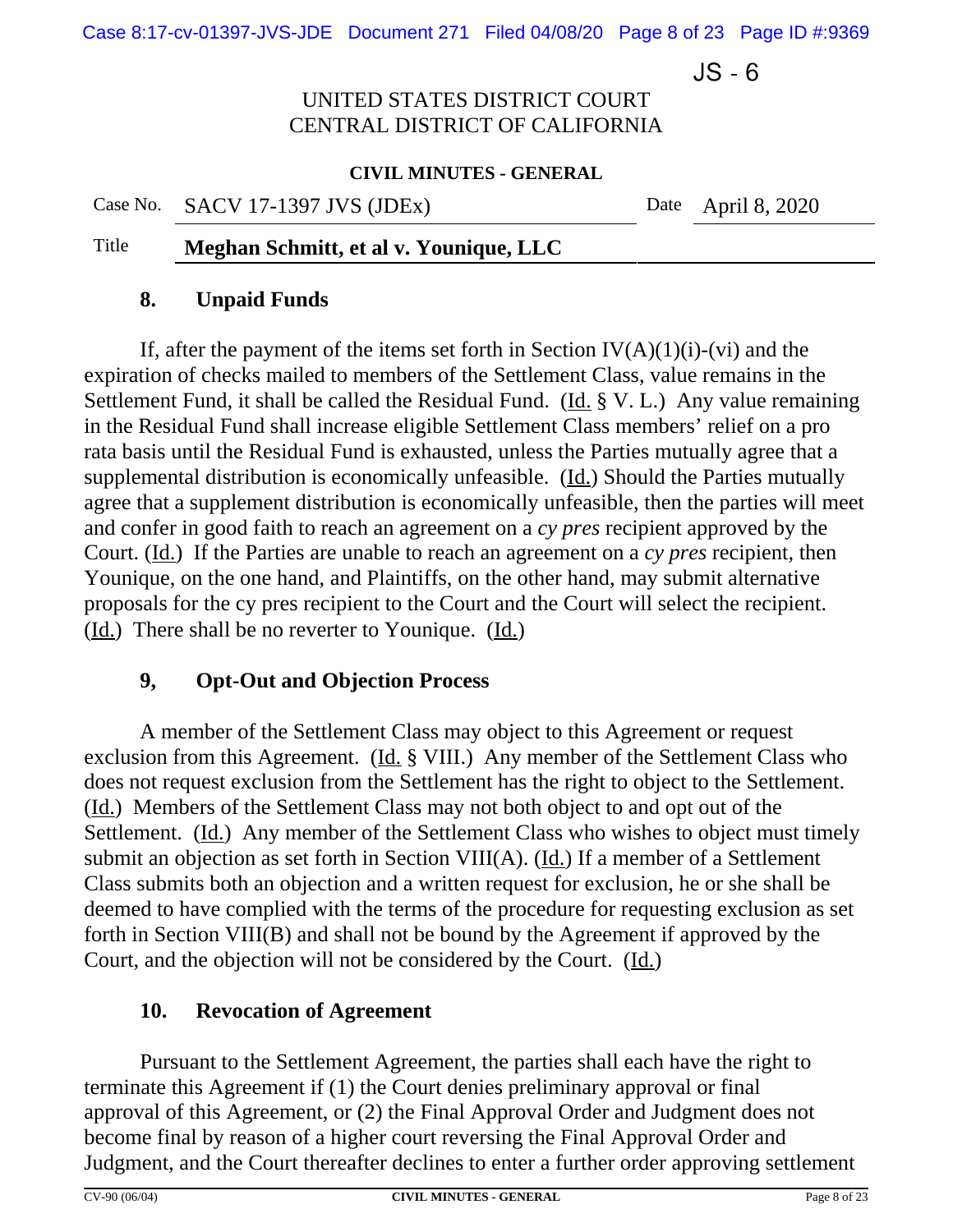Case 8:17-cv-01397-JVS-JDE Document 271 Filed 04/08/20 Page 8 of 23 Page ID #:9369

 $JS - 6$ 

# UNITED STATES DISTRICT COURT CENTRAL DISTRICT OF CALIFORNIA

#### **CIVIL MINUTES - GENERAL**

Case No. SACV 17-1397 JVS (JDEx) Date April 8, 2020

## Title **Meghan Schmitt, et al v. Younique, LLC**

### **8. Unpaid Funds**

If, after the payment of the items set forth in Section  $IV(A)(1)(i)-(vi)$  and the expiration of checks mailed to members of the Settlement Class, value remains in the Settlement Fund, it shall be called the Residual Fund. (Id.  $\S V$ . L.) Any value remaining in the Residual Fund shall increase eligible Settlement Class members' relief on a pro rata basis until the Residual Fund is exhausted, unless the Parties mutually agree that a supplemental distribution is economically unfeasible. (Id.) Should the Parties mutually agree that a supplement distribution is economically unfeasible, then the parties will meet and confer in good faith to reach an agreement on a *cy pres* recipient approved by the Court. (Id.) If the Parties are unable to reach an agreement on a *cy pres* recipient, then Younique, on the one hand, and Plaintiffs, on the other hand, may submit alternative proposals for the cy pres recipient to the Court and the Court will select the recipient. (Id.) There shall be no reverter to Younique.(Id.)

## **9, Opt-Out and Objection Process**

A member of the Settlement Class may object to this Agreement or request exclusion from this Agreement. (Id. § VIII.) Any member of the Settlement Class who does not request exclusion from the Settlement has the right to object to the Settlement. (Id.) Members of the Settlement Class may not both object to and opt out of the Settlement. (Id.) Any member of the Settlement Class who wishes to object must timely submit an objection as set forth in Section VIII(A). (Id.) If a member of a Settlement Class submits both an objection and a written request for exclusion, he or she shall be deemed to have complied with the terms of the procedure for requesting exclusion as set forth in Section VIII(B) and shall not be bound by the Agreement if approved by the Court, and the objection will not be considered by the Court. (Id.)

## **10. Revocation of Agreement**

Pursuant to the Settlement Agreement, the parties shall each have the right to terminate this Agreement if (1) the Court denies preliminary approval or final approval of this Agreement, or (2) the Final Approval Order and Judgment does not become final by reason of a higher court reversing the Final Approval Order and Judgment, and the Court thereafter declines to enter a further order approving settlement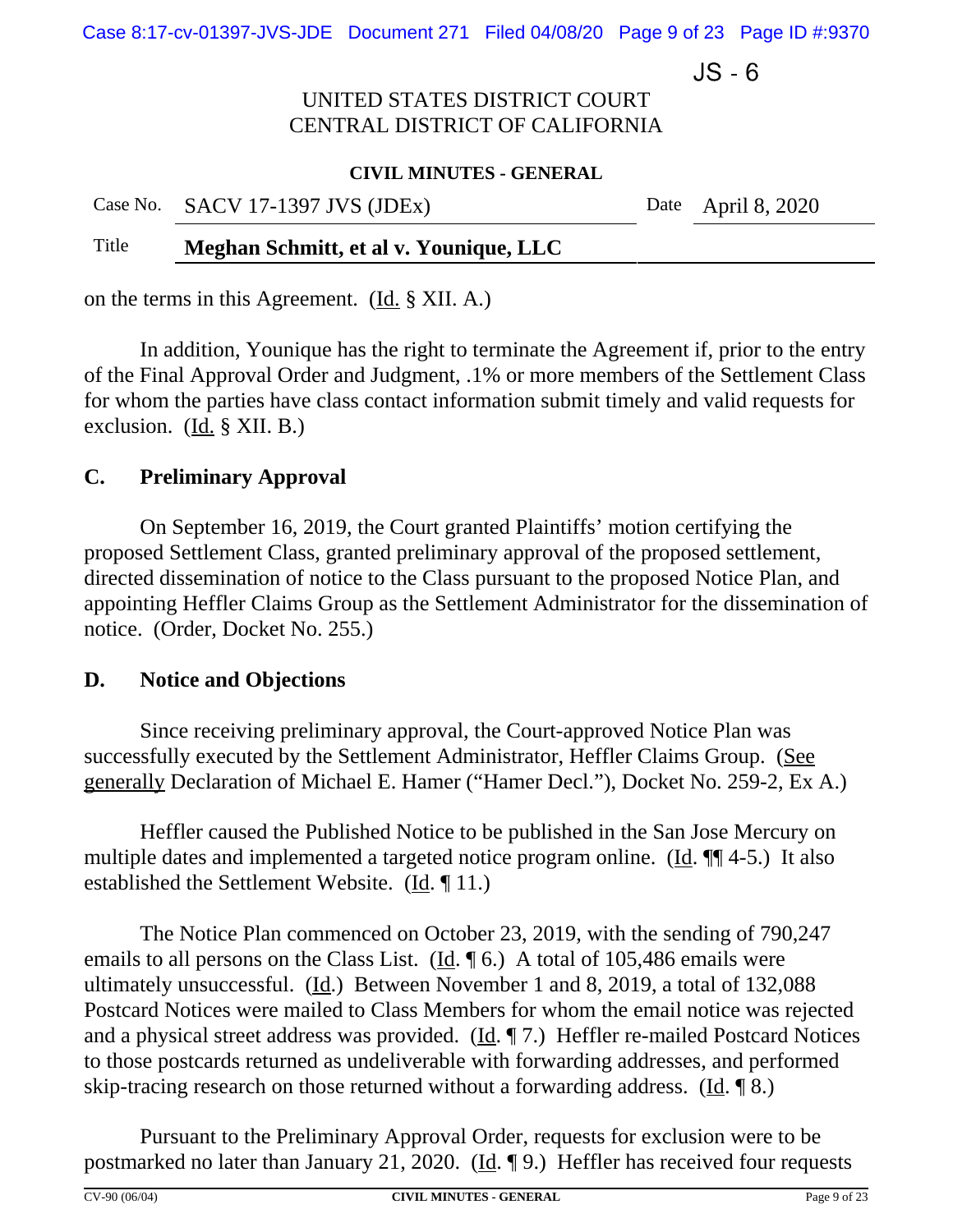Case 8:17-cv-01397-JVS-JDE Document 271 Filed 04/08/20 Page 9 of 23 Page ID #:9370

 $JS - 6$ 

# UNITED STATES DISTRICT COURT CENTRAL DISTRICT OF CALIFORNIA

#### **CIVIL MINUTES - GENERAL**

|       | Case No. SACV 17-1397 JVS (JDEx)       | Date April 8, 2020 |
|-------|----------------------------------------|--------------------|
| Title | Meghan Schmitt, et al v. Younique, LLC |                    |

on the terms in this Agreement. (Id. § XII. A.)

In addition, Younique has the right to terminate the Agreement if, prior to the entry of the Final Approval Order and Judgment, .1% or more members of the Settlement Class for whom the parties have class contact information submit timely and valid requests for exclusion. (Id. § XII. B.)

# **C. Preliminary Approval**

On September 16, 2019, the Court granted Plaintiffs' motion certifying the proposed Settlement Class, granted preliminary approval of the proposed settlement, directed dissemination of notice to the Class pursuant to the proposed Notice Plan, and appointing Heffler Claims Group as the Settlement Administrator for the dissemination of notice. (Order, Docket No. 255.)

## **D. Notice and Objections**

Since receiving preliminary approval, the Court-approved Notice Plan was successfully executed by the Settlement Administrator, Heffler Claims Group. (See generally Declaration of Michael E. Hamer ("Hamer Decl."), Docket No. 259-2, Ex A.)

Heffler caused the Published Notice to be published in the San Jose Mercury on multiple dates and implemented a targeted notice program online. (Id. ¶ 4-5.) It also established the Settlement Website. (Id. ¶ 11.)

The Notice Plan commenced on October 23, 2019, with the sending of 790,247 emails to all persons on the Class List. ( $\underline{Id}$ .  $\P$  6.) A total of 105,486 emails were ultimately unsuccessful. (Id.) Between November 1 and 8, 2019, a total of 132,088 Postcard Notices were mailed to Class Members for whom the email notice was rejected and a physical street address was provided. (Id. ¶ 7.) Heffler re-mailed Postcard Notices to those postcards returned as undeliverable with forwarding addresses, and performed skip-tracing research on those returned without a forwarding address. (Id. ¶ 8.)

Pursuant to the Preliminary Approval Order, requests for exclusion were to be postmarked no later than January 21, 2020. (Id. ¶ 9.) Heffler has received four requests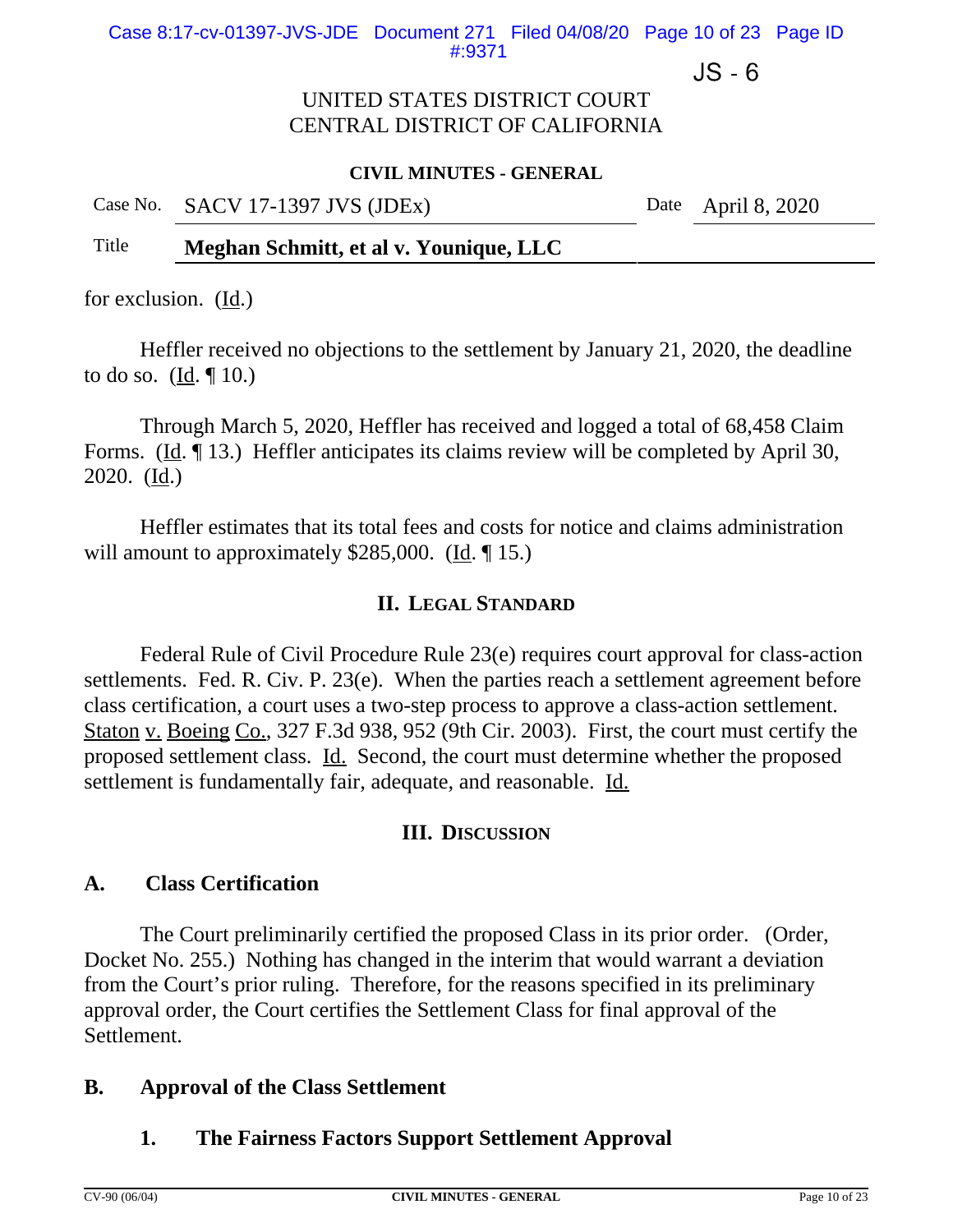$JS - 6$ 

## UNITED STATES DISTRICT COURT CENTRAL DISTRICT OF CALIFORNIA

#### **CIVIL MINUTES - GENERAL**

|  | Case No. SACV 17-1397 JVS (JDEx) |  |
|--|----------------------------------|--|
|--|----------------------------------|--|

Date April 8,  $2020$ 

## Title **Meghan Schmitt, et al v. Younique, LLC**

for exclusion. (Id.)

Heffler received no objections to the settlement by January 21, 2020, the deadline to do so.  $(\underline{Id}, \P 10.)$ 

Through March 5, 2020, Heffler has received and logged a total of 68,458 Claim Forms. (Id. ¶ 13.) Heffler anticipates its claims review will be completed by April 30, 2020. (Id.)

Heffler estimates that its total fees and costs for notice and claims administration will amount to approximately \$285,000. (Id. ¶ 15.)

### **II. LEGAL STANDARD**

Federal Rule of Civil Procedure Rule 23(e) requires court approval for class-action settlements. Fed. R. Civ. P. 23(e). When the parties reach a settlement agreement before class certification, a court uses a two-step process to approve a class-action settlement. Staton v. Boeing Co., 327 F.3d 938, 952 (9th Cir. 2003). First, the court must certify the proposed settlement class. Id. Second, the court must determine whether the proposed settlement is fundamentally fair, adequate, and reasonable. Id.

#### **III. DISCUSSION**

## **A. Class Certification**

The Court preliminarily certified the proposed Class in its prior order. (Order, Docket No. 255.) Nothing has changed in the interim that would warrant a deviation from the Court's prior ruling. Therefore, for the reasons specified in its preliminary approval order, the Court certifies the Settlement Class for final approval of the Settlement.

## **B. Approval of the Class Settlement**

## **1. The Fairness Factors Support Settlement Approval**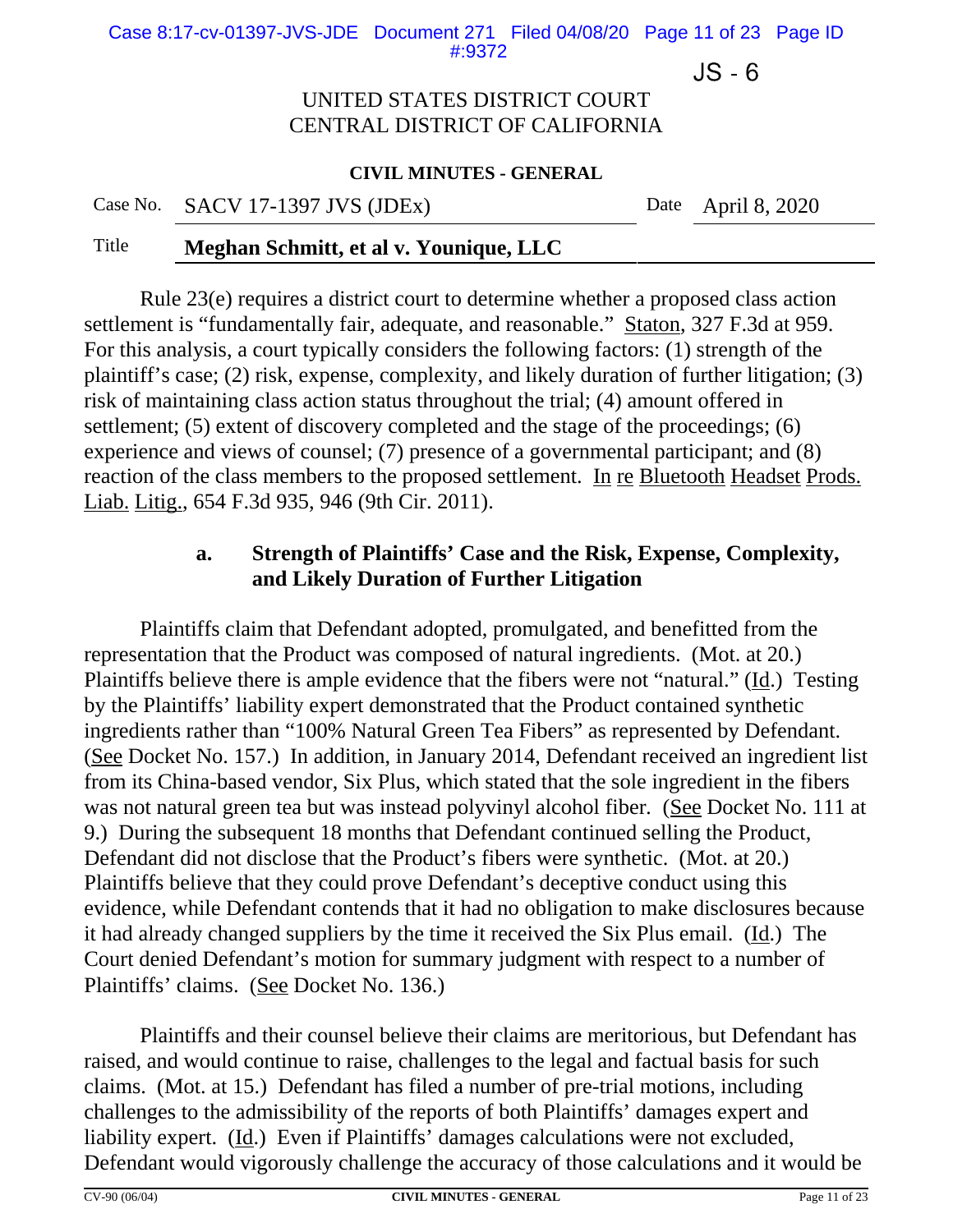Case 8:17-cv-01397-JVS-JDE Document 271 Filed 04/08/20 Page 11 of 23 Page ID #:9372

 $JS - 6$ 

### UNITED STATES DISTRICT COURT CENTRAL DISTRICT OF CALIFORNIA

#### **CIVIL MINUTES - GENERAL**

Case No. SACV 17-1397 JVS (JDEx) Date April 8, 2020

#### Title **Meghan Schmitt, et al v. Younique, LLC**

Rule 23(e) requires a district court to determine whether a proposed class action settlement is "fundamentally fair, adequate, and reasonable." Staton, 327 F.3d at 959. For this analysis, a court typically considers the following factors: (1) strength of the plaintiff's case; (2) risk, expense, complexity, and likely duration of further litigation; (3) risk of maintaining class action status throughout the trial; (4) amount offered in settlement; (5) extent of discovery completed and the stage of the proceedings; (6) experience and views of counsel; (7) presence of a governmental participant; and (8) reaction of the class members to the proposed settlement. In re Bluetooth Headset Prods. Liab. Litig., 654 F.3d 935, 946 (9th Cir. 2011).

# **a. Strength of Plaintiffs' Case and the Risk, Expense, Complexity, and Likely Duration of Further Litigation**

Plaintiffs claim that Defendant adopted, promulgated, and benefitted from the representation that the Product was composed of natural ingredients. (Mot. at 20.) Plaintiffs believe there is ample evidence that the fibers were not "natural." (Id.) Testing by the Plaintiffs' liability expert demonstrated that the Product contained synthetic ingredients rather than "100% Natural Green Tea Fibers" as represented by Defendant. (See Docket No. 157.) In addition, in January 2014, Defendant received an ingredient list from its China-based vendor, Six Plus, which stated that the sole ingredient in the fibers was not natural green tea but was instead polyvinyl alcohol fiber*.* (See Docket No. 111 at 9.) During the subsequent 18 months that Defendant continued selling the Product, Defendant did not disclose that the Product's fibers were synthetic. (Mot. at 20.) Plaintiffs believe that they could prove Defendant's deceptive conduct using this evidence, while Defendant contends that it had no obligation to make disclosures because it had already changed suppliers by the time it received the Six Plus email. (Id.) The Court denied Defendant's motion for summary judgment with respect to a number of Plaintiffs' claims. (See Docket No. 136.)

Plaintiffs and their counsel believe their claims are meritorious, but Defendant has raised, and would continue to raise, challenges to the legal and factual basis for such claims. (Mot. at 15.) Defendant has filed a number of pre-trial motions, including challenges to the admissibility of the reports of both Plaintiffs' damages expert and liability expert. (Id.) Even if Plaintiffs' damages calculations were not excluded, Defendant would vigorously challenge the accuracy of those calculations and it would be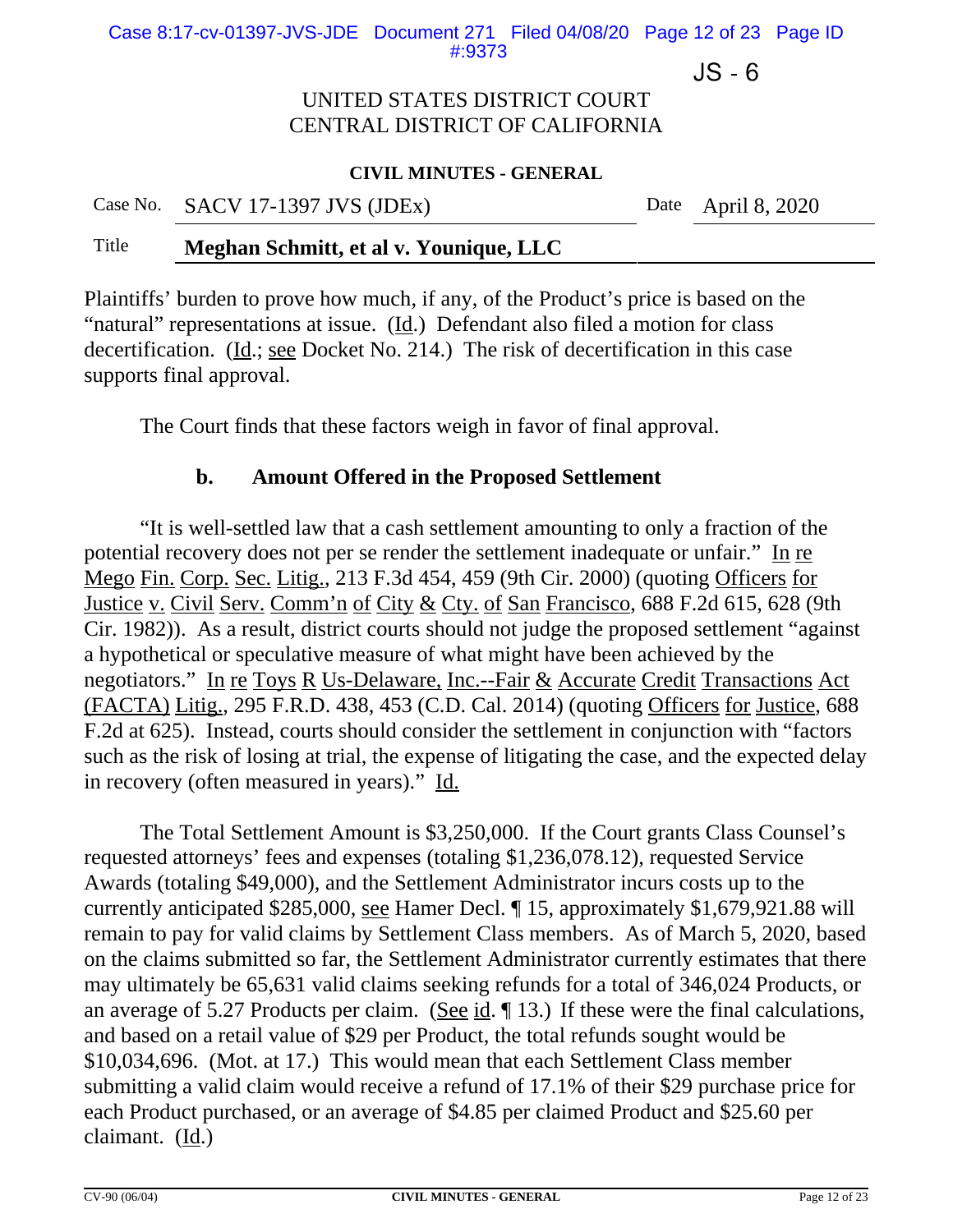Case 8:17-cv-01397-JVS-JDE Document 271 Filed 04/08/20 Page 12 of 23 Page ID #:9373

 $JS - 6$ 

## UNITED STATES DISTRICT COURT CENTRAL DISTRICT OF CALIFORNIA

#### **CIVIL MINUTES - GENERAL**

| Case No. SACV 17-1397 JVS (JDEx) | Date April 8, 2020 |
|----------------------------------|--------------------|
|                                  |                    |

### Title **Meghan Schmitt, et al v. Younique, LLC**

Plaintiffs' burden to prove how much, if any, of the Product's price is based on the "natural" representations at issue. (Id.) Defendant also filed a motion for class decertification. (Id.; see Docket No. 214.) The risk of decertification in this case supports final approval.

The Court finds that these factors weigh in favor of final approval.

### **b. Amount Offered in the Proposed Settlement**

"It is well-settled law that a cash settlement amounting to only a fraction of the potential recovery does not per se render the settlement inadequate or unfair." In re Mego Fin. Corp. Sec. Litig., 213 F.3d 454, 459 (9th Cir. 2000) (quoting Officers for Justice v. Civil Serv. Comm'n of City & Cty. of San Francisco, 688 F.2d 615, 628 (9th Cir. 1982)). As a result, district courts should not judge the proposed settlement "against a hypothetical or speculative measure of what might have been achieved by the negotiators." In re Toys R Us-Delaware, Inc.--Fair & Accurate Credit Transactions Act (FACTA) Litig., 295 F.R.D. 438, 453 (C.D. Cal. 2014) (quoting Officers for Justice, 688 F.2d at 625). Instead, courts should consider the settlement in conjunction with "factors such as the risk of losing at trial, the expense of litigating the case, and the expected delay in recovery (often measured in years)." Id.

The Total Settlement Amount is \$3,250,000. If the Court grants Class Counsel's requested attorneys' fees and expenses (totaling \$1,236,078.12), requested Service Awards (totaling \$49,000), and the Settlement Administrator incurs costs up to the currently anticipated \$285,000, see Hamer Decl. ¶ 15, approximately \$1,679,921.88 will remain to pay for valid claims by Settlement Class members. As of March 5, 2020, based on the claims submitted so far, the Settlement Administrator currently estimates that there may ultimately be 65,631 valid claims seeking refunds for a total of 346,024 Products, or an average of 5.27 Products per claim. (See id.  $\P$  13.) If these were the final calculations, and based on a retail value of \$29 per Product, the total refunds sought would be \$10,034,696. (Mot. at 17.) This would mean that each Settlement Class member submitting a valid claim would receive a refund of 17.1% of their \$29 purchase price for each Product purchased, or an average of \$4.85 per claimed Product and \$25.60 per claimant. (Id.)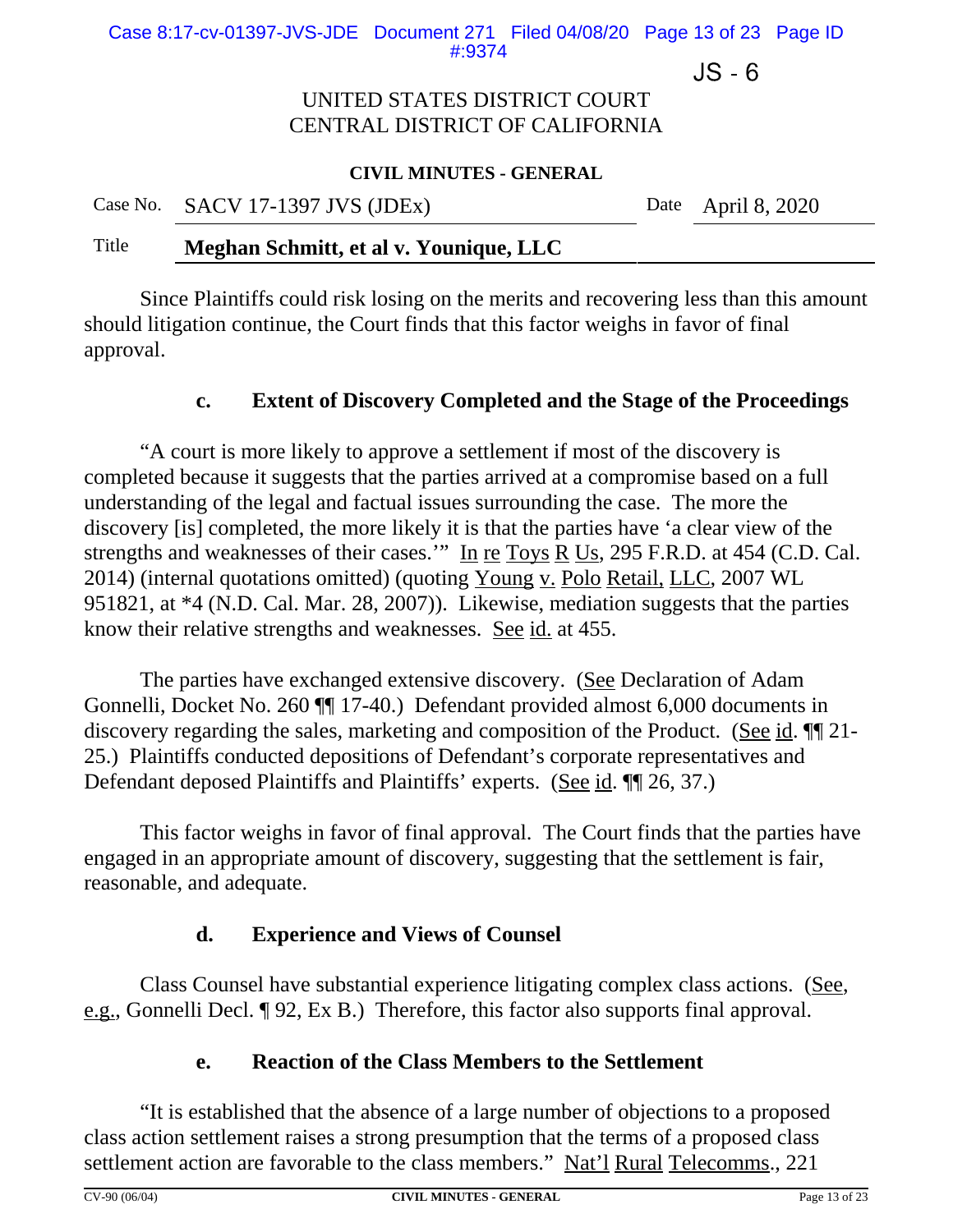Case 8:17-cv-01397-JVS-JDE Document 271 Filed 04/08/20 Page 13 of 23 Page ID #:9374

 $JS - 6$ 

# UNITED STATES DISTRICT COURT CENTRAL DISTRICT OF CALIFORNIA

#### **CIVIL MINUTES - GENERAL**

| Case No. SACV 17-1397 JVS (JDEx) | Date April 8, 2020 |
|----------------------------------|--------------------|
|                                  |                    |

### Title **Meghan Schmitt, et al v. Younique, LLC**

Since Plaintiffs could risk losing on the merits and recovering less than this amount should litigation continue, the Court finds that this factor weighs in favor of final approval.

#### **c. Extent of Discovery Completed and the Stage of the Proceedings**

"A court is more likely to approve a settlement if most of the discovery is completed because it suggests that the parties arrived at a compromise based on a full understanding of the legal and factual issues surrounding the case. The more the discovery [is] completed, the more likely it is that the parties have 'a clear view of the strengths and weaknesses of their cases.'" In re Toys R Us, 295 F.R.D. at 454 (C.D. Cal. 2014) (internal quotations omitted) (quoting Young v. Polo Retail, LLC, 2007 WL 951821, at \*4 (N.D. Cal. Mar. 28, 2007)). Likewise, mediation suggests that the parties know their relative strengths and weaknesses. See id. at 455.

The parties have exchanged extensive discovery. (See Declaration of Adam Gonnelli, Docket No. 260 ¶¶ 17-40.) Defendant provided almost 6,000 documents in discovery regarding the sales, marketing and composition of the Product. (See id. ¶¶ 21- 25.) Plaintiffs conducted depositions of Defendant's corporate representatives and Defendant deposed Plaintiffs and Plaintiffs' experts. (See id. ¶[ 26, 37.)

This factor weighs in favor of final approval. The Court finds that the parties have engaged in an appropriate amount of discovery, suggesting that the settlement is fair, reasonable, and adequate.

## **d. Experience and Views of Counsel**

Class Counsel have substantial experience litigating complex class actions. (See, e.g., Gonnelli Decl. ¶ 92, Ex B.) Therefore, this factor also supports final approval.

## **e. Reaction of the Class Members to the Settlement**

"It is established that the absence of a large number of objections to a proposed class action settlement raises a strong presumption that the terms of a proposed class settlement action are favorable to the class members." Nat'l Rural Telecomms., 221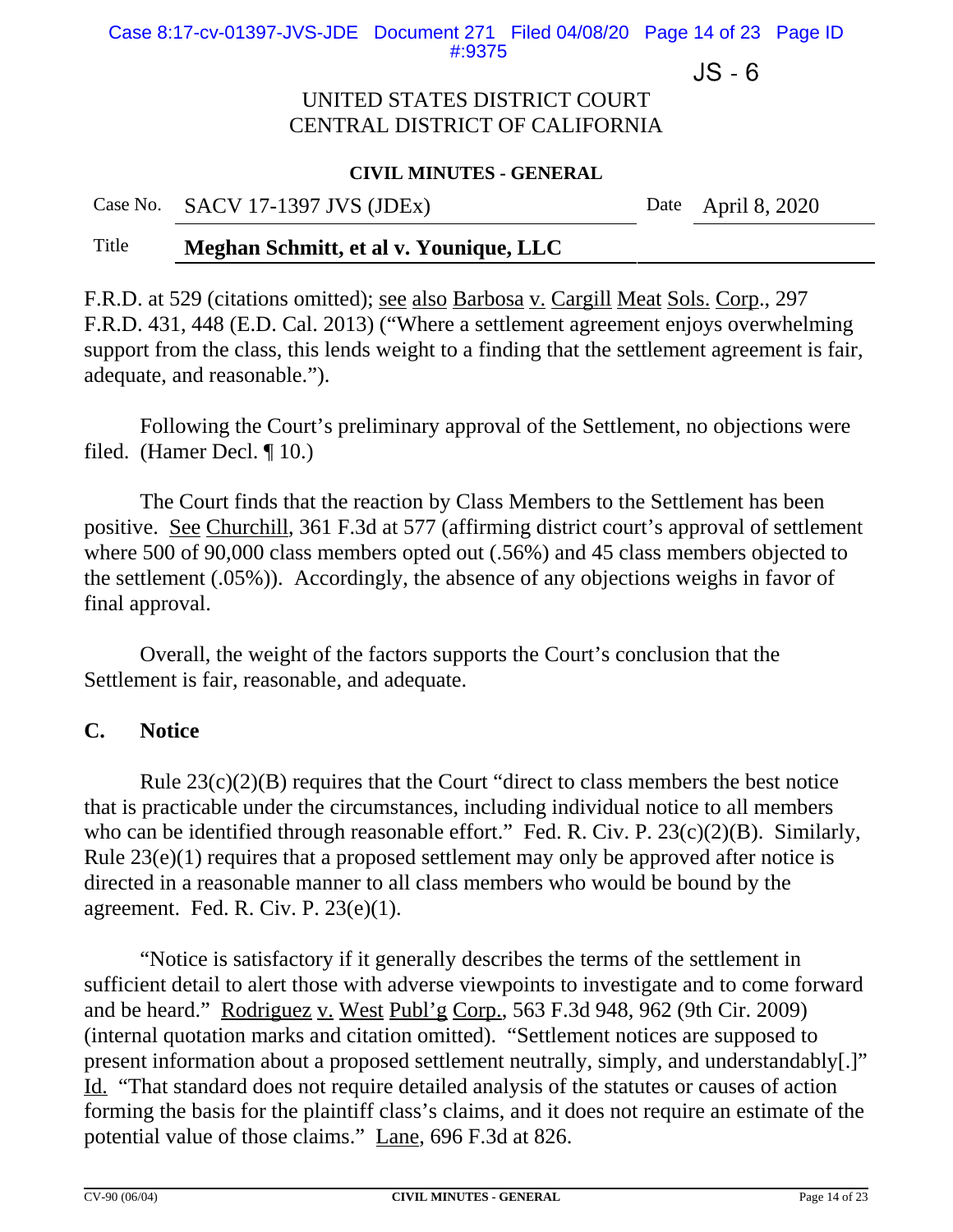Case 8:17-cv-01397-JVS-JDE Document 271 Filed 04/08/20 Page 14 of 23 Page ID #:9375

 $JS - 6$ 

### UNITED STATES DISTRICT COURT CENTRAL DISTRICT OF CALIFORNIA

#### **CIVIL MINUTES - GENERAL**

Case No. SACV 17-1397 JVS (JDEx) Date April 8, 2020

### Title **Meghan Schmitt, et al v. Younique, LLC**

F.R.D. at 529 (citations omitted); see also Barbosa v. Cargill Meat Sols. Corp., 297 F.R.D. 431, 448 (E.D. Cal. 2013) ("Where a settlement agreement enjoys overwhelming support from the class, this lends weight to a finding that the settlement agreement is fair, adequate, and reasonable.").

Following the Court's preliminary approval of the Settlement, no objections were filed. (Hamer Decl. ¶ 10.)

The Court finds that the reaction by Class Members to the Settlement has been positive. See Churchill, 361 F.3d at 577 (affirming district court's approval of settlement where 500 of 90,000 class members opted out (.56%) and 45 class members objected to the settlement (.05%)). Accordingly, the absence of any objections weighs in favor of final approval.

Overall, the weight of the factors supports the Court's conclusion that the Settlement is fair, reasonable, and adequate.

### **C. Notice**

Rule  $23(c)(2)(B)$  requires that the Court "direct to class members the best notice that is practicable under the circumstances, including individual notice to all members who can be identified through reasonable effort." Fed. R. Civ. P. 23(c)(2)(B). Similarly, Rule 23(e)(1) requires that a proposed settlement may only be approved after notice is directed in a reasonable manner to all class members who would be bound by the agreement. Fed. R. Civ. P. 23(e)(1).

"Notice is satisfactory if it generally describes the terms of the settlement in sufficient detail to alert those with adverse viewpoints to investigate and to come forward and be heard." Rodriguez v. West Publ'g Corp., 563 F.3d 948, 962 (9th Cir. 2009) (internal quotation marks and citation omitted). "Settlement notices are supposed to present information about a proposed settlement neutrally, simply, and understandably[.]" Id. "That standard does not require detailed analysis of the statutes or causes of action forming the basis for the plaintiff class's claims, and it does not require an estimate of the potential value of those claims." Lane, 696 F.3d at 826.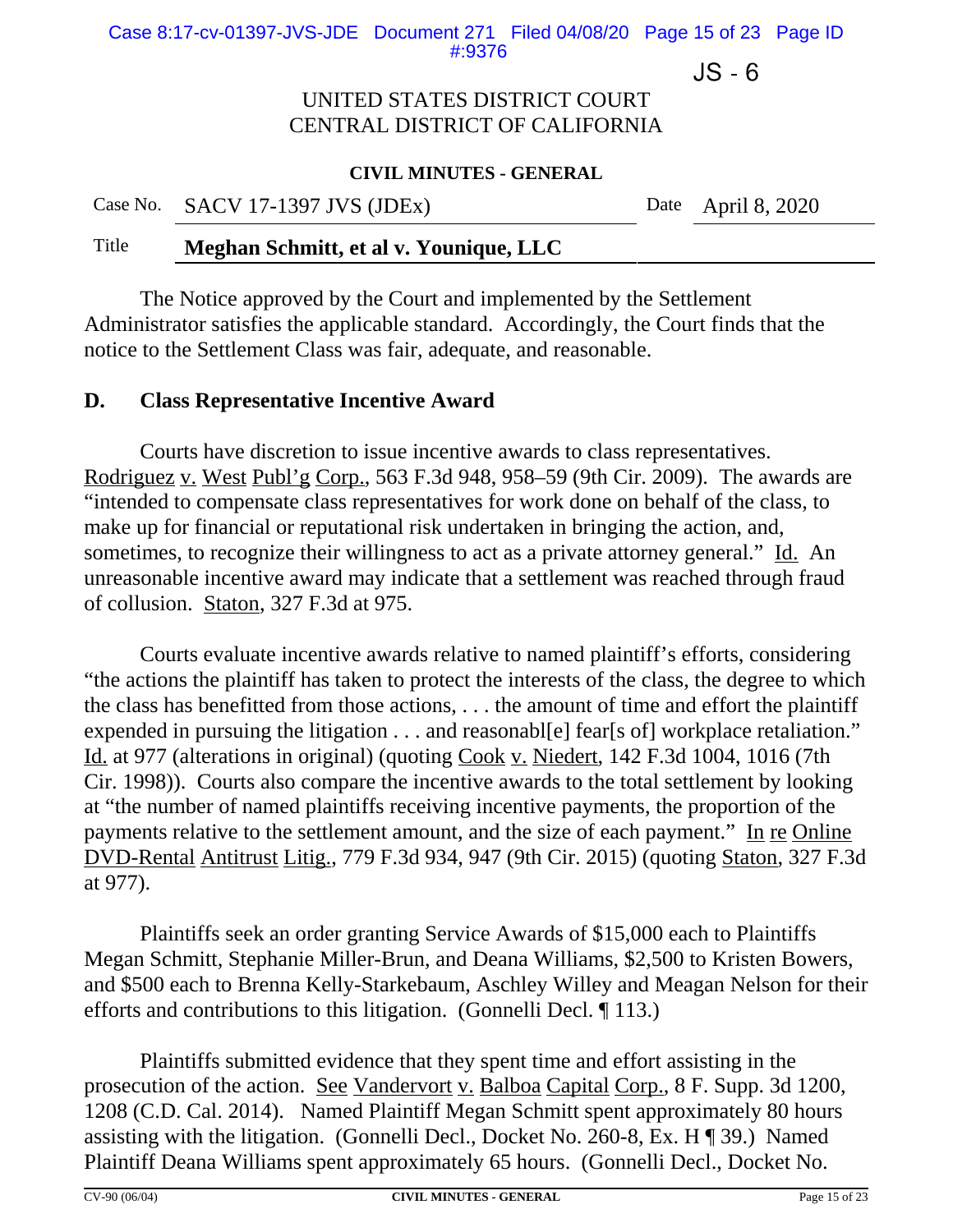Case 8:17-cv-01397-JVS-JDE Document 271 Filed 04/08/20 Page 15 of 23 Page ID #:9376

 $JS - 6$ 

### UNITED STATES DISTRICT COURT CENTRAL DISTRICT OF CALIFORNIA

#### **CIVIL MINUTES - GENERAL**

Case No. SACV 17-1397 JVS (JDEx) Date April 8, 2020

### Title **Meghan Schmitt, et al v. Younique, LLC**

The Notice approved by the Court and implemented by the Settlement Administrator satisfies the applicable standard. Accordingly, the Court finds that the notice to the Settlement Class was fair, adequate, and reasonable.

### **D. Class Representative Incentive Award**

Courts have discretion to issue incentive awards to class representatives. Rodriguez v. West Publ'g Corp., 563 F.3d 948, 958–59 (9th Cir. 2009). The awards are "intended to compensate class representatives for work done on behalf of the class, to make up for financial or reputational risk undertaken in bringing the action, and, sometimes, to recognize their willingness to act as a private attorney general." Id. An unreasonable incentive award may indicate that a settlement was reached through fraud of collusion. Staton, 327 F.3d at 975.

Courts evaluate incentive awards relative to named plaintiff's efforts, considering "the actions the plaintiff has taken to protect the interests of the class, the degree to which the class has benefitted from those actions, . . . the amount of time and effort the plaintiff expended in pursuing the litigation . . . and reasonable l fearls of workplace retaliation." Id. at 977 (alterations in original) (quoting Cook v. Niedert, 142 F.3d 1004, 1016 (7th Cir. 1998)). Courts also compare the incentive awards to the total settlement by looking at "the number of named plaintiffs receiving incentive payments, the proportion of the payments relative to the settlement amount, and the size of each payment." In re Online DVD-Rental Antitrust Litig., 779 F.3d 934, 947 (9th Cir. 2015) (quoting Staton, 327 F.3d at 977).

Plaintiffs seek an order granting Service Awards of \$15,000 each to Plaintiffs Megan Schmitt, Stephanie Miller-Brun, and Deana Williams, \$2,500 to Kristen Bowers, and \$500 each to Brenna Kelly-Starkebaum, Aschley Willey and Meagan Nelson for their efforts and contributions to this litigation. (Gonnelli Decl. ¶ 113.)

Plaintiffs submitted evidence that they spent time and effort assisting in the prosecution of the action. See Vandervort v. Balboa Capital Corp., 8 F. Supp. 3d 1200, 1208 (C.D. Cal. 2014). Named Plaintiff Megan Schmitt spent approximately 80 hours assisting with the litigation. (Gonnelli Decl., Docket No. 260-8, Ex. H ¶ 39.) Named Plaintiff Deana Williams spent approximately 65 hours. (Gonnelli Decl., Docket No.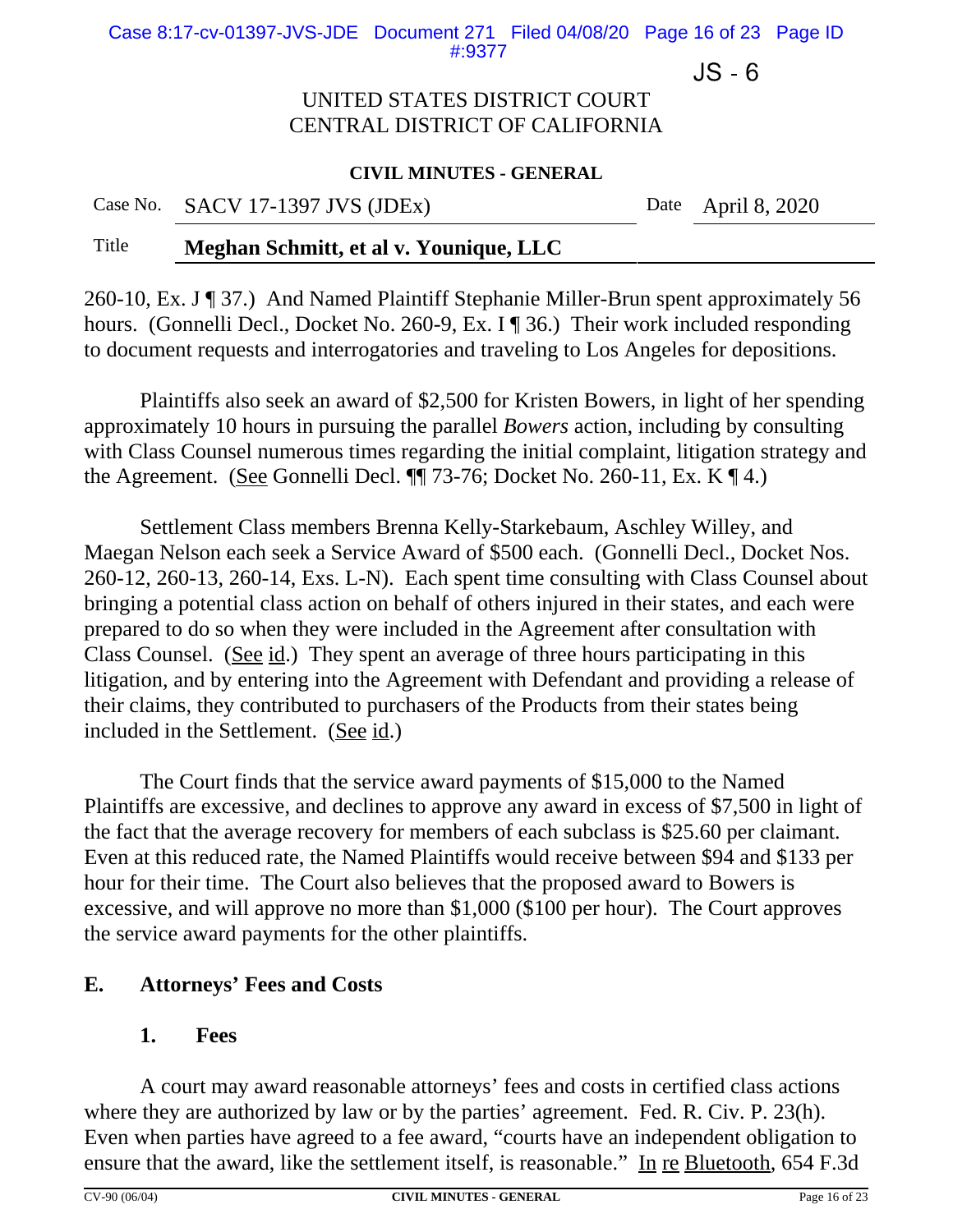Case 8:17-cv-01397-JVS-JDE Document 271 Filed 04/08/20 Page 16 of 23 Page ID #:9377

 $JS - 6$ 

### UNITED STATES DISTRICT COURT CENTRAL DISTRICT OF CALIFORNIA

#### **CIVIL MINUTES - GENERAL**

Case No. SACV 17-1397 JVS (JDEx) Date April 8, 2020

### Title **Meghan Schmitt, et al v. Younique, LLC**

260-10, Ex. J ¶ 37.) And Named Plaintiff Stephanie Miller-Brun spent approximately 56 hours. (Gonnelli Decl., Docket No. 260-9, Ex. I ¶ 36.) Their work included responding to document requests and interrogatories and traveling to Los Angeles for depositions.

Plaintiffs also seek an award of \$2,500 for Kristen Bowers, in light of her spending approximately 10 hours in pursuing the parallel *Bowers* action, including by consulting with Class Counsel numerous times regarding the initial complaint, litigation strategy and the Agreement. (See Gonnelli Decl.  $\P$  73-76; Docket No. 260-11, Ex. K  $\P$  4.)

Settlement Class members Brenna Kelly-Starkebaum, Aschley Willey, and Maegan Nelson each seek a Service Award of \$500 each. (Gonnelli Decl., Docket Nos. 260-12, 260-13, 260-14, Exs. L-N). Each spent time consulting with Class Counsel about bringing a potential class action on behalf of others injured in their states, and each were prepared to do so when they were included in the Agreement after consultation with Class Counsel. (See id.) They spent an average of three hours participating in this litigation, and by entering into the Agreement with Defendant and providing a release of their claims, they contributed to purchasers of the Products from their states being included in the Settlement. (See id.)

The Court finds that the service award payments of \$15,000 to the Named Plaintiffs are excessive, and declines to approve any award in excess of \$7,500 in light of the fact that the average recovery for members of each subclass is \$25.60 per claimant. Even at this reduced rate, the Named Plaintiffs would receive between \$94 and \$133 per hour for their time. The Court also believes that the proposed award to Bowers is excessive, and will approve no more than \$1,000 (\$100 per hour). The Court approves the service award payments for the other plaintiffs.

## **E. Attorneys' Fees and Costs**

### **1. Fees**

A court may award reasonable attorneys' fees and costs in certified class actions where they are authorized by law or by the parties' agreement. Fed. R. Civ. P. 23(h). Even when parties have agreed to a fee award, "courts have an independent obligation to ensure that the award, like the settlement itself, is reasonable." In re Bluetooth, 654 F.3d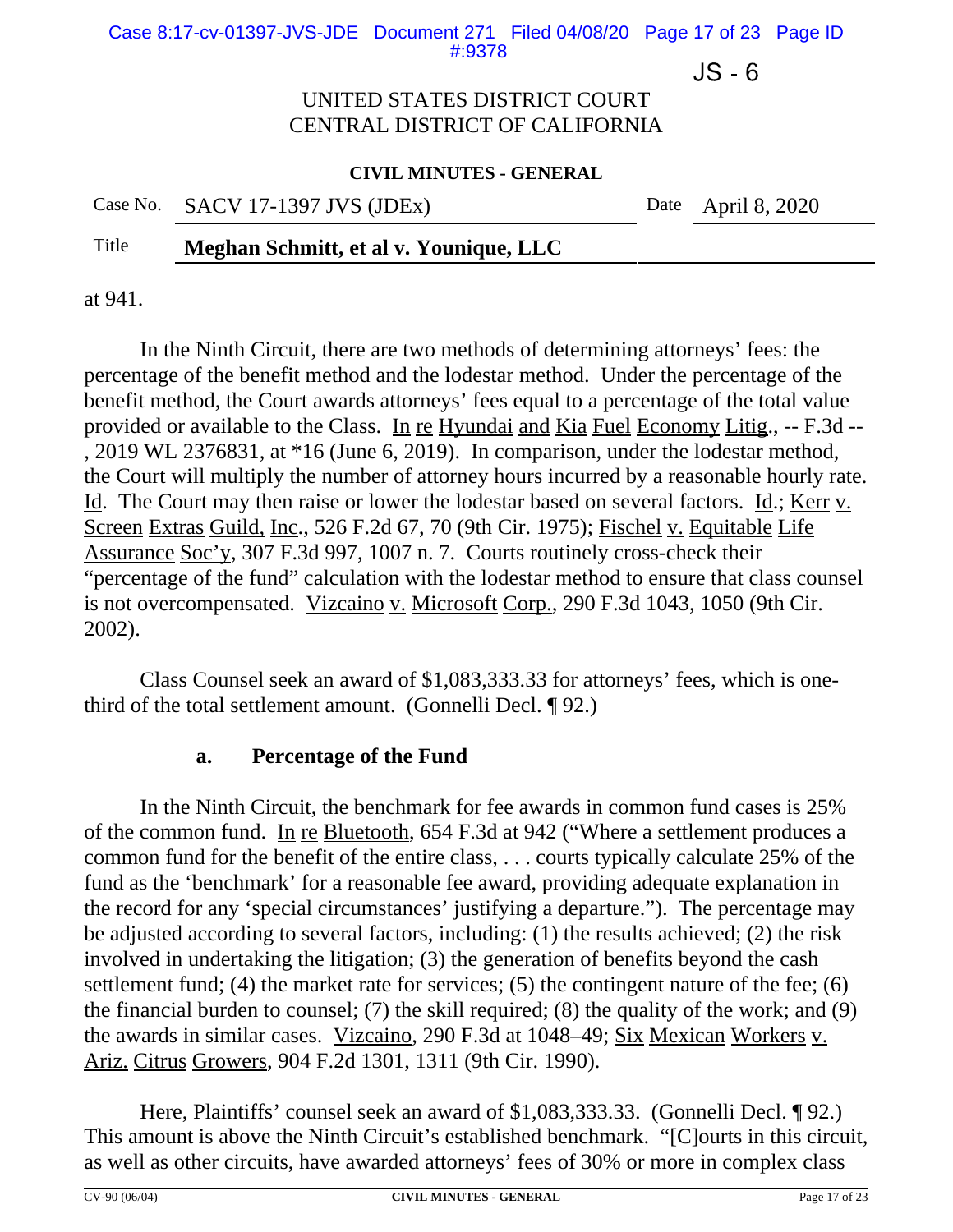Case 8:17-cv-01397-JVS-JDE Document 271 Filed 04/08/20 Page 17 of 23 Page ID #:9378

 $JS - 6$ 

### UNITED STATES DISTRICT COURT CENTRAL DISTRICT OF CALIFORNIA

#### **CIVIL MINUTES - GENERAL**

Date April 8,  $2020$ 

## Title **Meghan Schmitt, et al v. Younique, LLC**

at 941.

In the Ninth Circuit, there are two methods of determining attorneys' fees: the percentage of the benefit method and the lodestar method. Under the percentage of the benefit method, the Court awards attorneys' fees equal to a percentage of the total value provided or available to the Class. In re Hyundai and Kia Fuel Economy Litig., -- F.3d -- , 2019 WL 2376831, at \*16 (June 6, 2019). In comparison, under the lodestar method, the Court will multiply the number of attorney hours incurred by a reasonable hourly rate. Id. The Court may then raise or lower the lodestar based on several factors. Id.; Kerr v. Screen Extras Guild, Inc., 526 F.2d 67, 70 (9th Cir. 1975); Fischel v. Equitable Life Assurance Soc'y, 307 F.3d 997, 1007 n. 7. Courts routinely cross-check their "percentage of the fund" calculation with the lodestar method to ensure that class counsel is not overcompensated. Vizcaino v. Microsoft Corp., 290 F.3d 1043, 1050 (9th Cir. 2002).

Class Counsel seek an award of \$1,083,333.33 for attorneys' fees, which is onethird of the total settlement amount. (Gonnelli Decl. ¶ 92.)

## **a. Percentage of the Fund**

In the Ninth Circuit, the benchmark for fee awards in common fund cases is 25% of the common fund. In re Bluetooth, 654 F.3d at 942 ("Where a settlement produces a common fund for the benefit of the entire class, . . . courts typically calculate 25% of the fund as the 'benchmark' for a reasonable fee award, providing adequate explanation in the record for any 'special circumstances' justifying a departure."). The percentage may be adjusted according to several factors, including: (1) the results achieved; (2) the risk involved in undertaking the litigation; (3) the generation of benefits beyond the cash settlement fund; (4) the market rate for services; (5) the contingent nature of the fee; (6) the financial burden to counsel; (7) the skill required; (8) the quality of the work; and (9) the awards in similar cases. Vizcaino, 290 F.3d at 1048–49; Six Mexican Workers v. Ariz. Citrus Growers, 904 F.2d 1301, 1311 (9th Cir. 1990).

Here, Plaintiffs' counsel seek an award of \$1,083,333.33. (Gonnelli Decl. ¶ 92.) This amount is above the Ninth Circuit's established benchmark. "[C]ourts in this circuit, as well as other circuits, have awarded attorneys' fees of 30% or more in complex class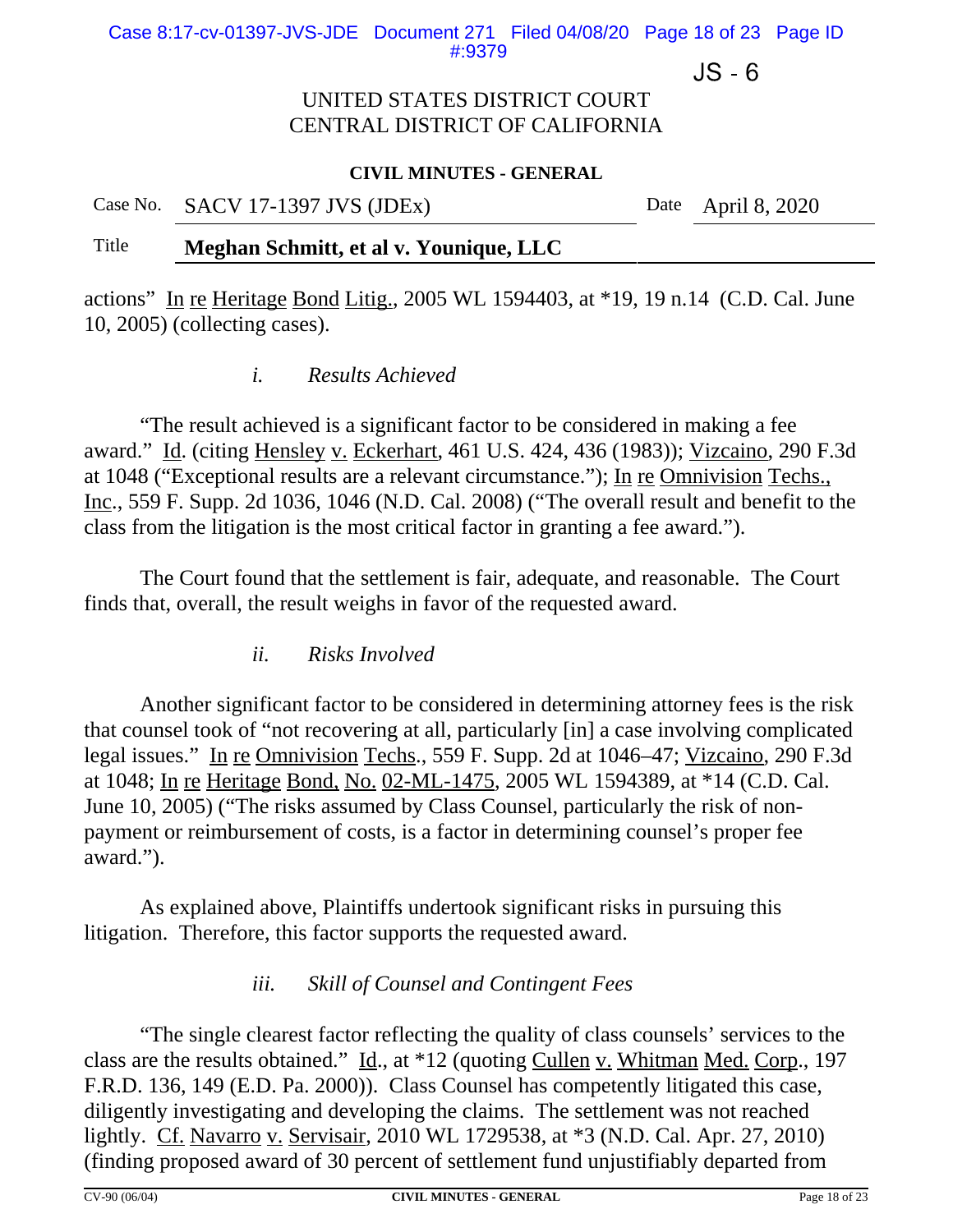Case 8:17-cv-01397-JVS-JDE Document 271 Filed 04/08/20 Page 18 of 23 Page ID #:9379

 $JS - 6$ 

### UNITED STATES DISTRICT COURT CENTRAL DISTRICT OF CALIFORNIA

#### **CIVIL MINUTES - GENERAL**

Case No. SACV 17-1397 JVS (JDEx) Date April 8, 2020

### Title **Meghan Schmitt, et al v. Younique, LLC**

actions" In re Heritage Bond Litig., 2005 WL 1594403, at \*19, 19 n.14 (C.D. Cal. June 10, 2005) (collecting cases).

### *i. Results Achieved*

"The result achieved is a significant factor to be considered in making a fee award." Id. (citing Hensley v. Eckerhart, 461 U.S. 424, 436 (1983)); Vizcaino, 290 F.3d at 1048 ("Exceptional results are a relevant circumstance."); In re Omnivision Techs., Inc., 559 F. Supp. 2d 1036, 1046 (N.D. Cal. 2008) ("The overall result and benefit to the class from the litigation is the most critical factor in granting a fee award.").

The Court found that the settlement is fair, adequate, and reasonable. The Court finds that, overall, the result weighs in favor of the requested award.

*ii. Risks Involved* 

Another significant factor to be considered in determining attorney fees is the risk that counsel took of "not recovering at all, particularly [in] a case involving complicated legal issues." In re Omnivision Techs., 559 F. Supp. 2d at 1046–47; Vizcaino, 290 F.3d at 1048; In re Heritage Bond, No. 02-ML-1475, 2005 WL 1594389, at \*14 (C.D. Cal. June 10, 2005) ("The risks assumed by Class Counsel, particularly the risk of nonpayment or reimbursement of costs, is a factor in determining counsel's proper fee award.").

As explained above, Plaintiffs undertook significant risks in pursuing this litigation. Therefore, this factor supports the requested award.

## *iii. Skill of Counsel and Contingent Fees*

"The single clearest factor reflecting the quality of class counsels' services to the class are the results obtained." Id., at \*12 (quoting Cullen v. Whitman Med. Corp., 197 F.R.D. 136, 149 (E.D. Pa. 2000)). Class Counsel has competently litigated this case, diligently investigating and developing the claims. The settlement was not reached lightly. Cf. Navarro v. Servisair, 2010 WL 1729538, at \*3 (N.D. Cal. Apr. 27, 2010) (finding proposed award of 30 percent of settlement fund unjustifiably departed from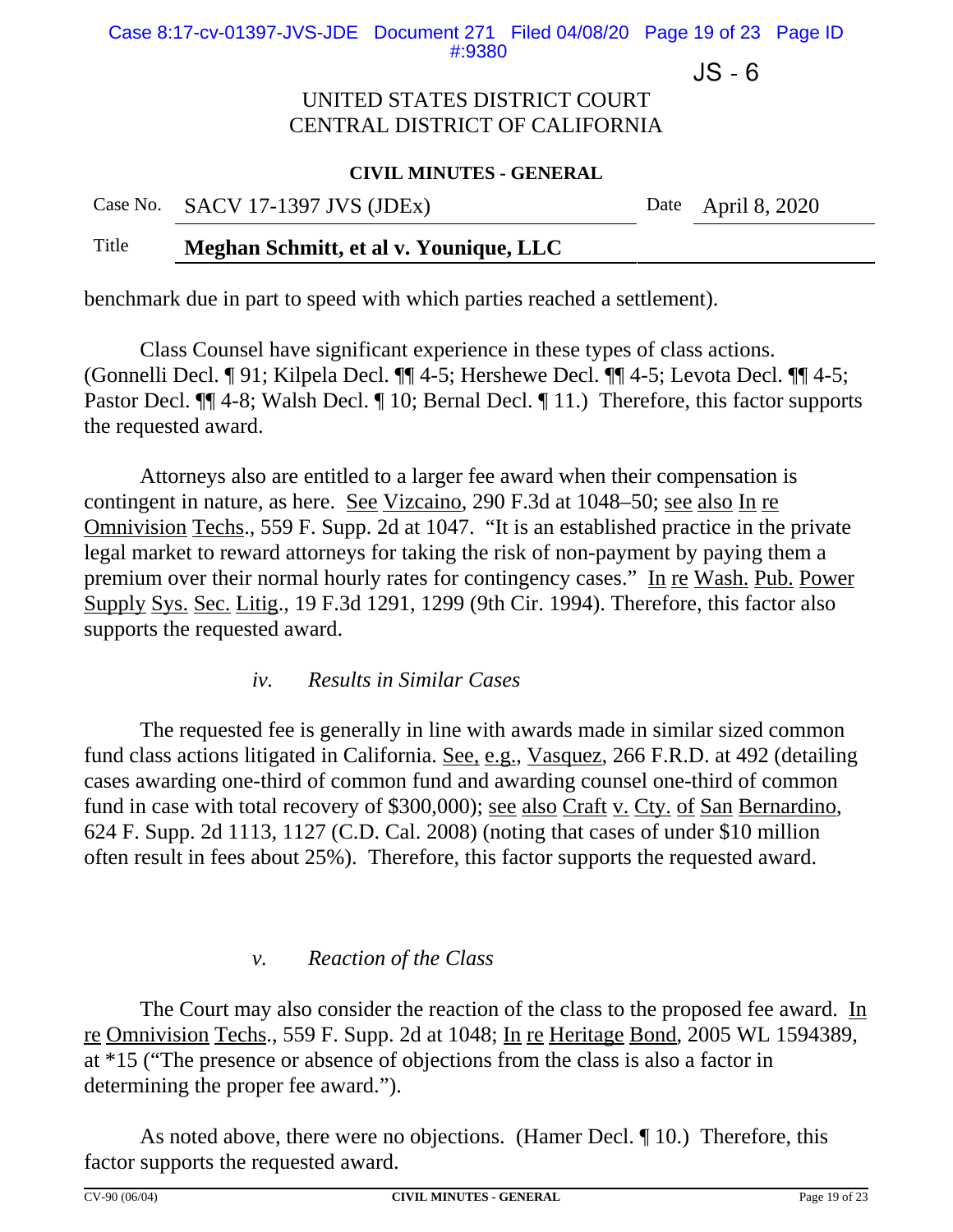Case 8:17-cv-01397-JVS-JDE Document 271 Filed 04/08/20 Page 19 of 23 Page ID #:9380

 $JS - 6$ 

### UNITED STATES DISTRICT COURT CENTRAL DISTRICT OF CALIFORNIA

#### **CIVIL MINUTES - GENERAL**

Case No. SACV 17-1397 JVS (JDEx) Date April 8, 2020

#### Title **Meghan Schmitt, et al v. Younique, LLC**

benchmark due in part to speed with which parties reached a settlement).

Class Counsel have significant experience in these types of class actions. (Gonnelli Decl. ¶ 91; Kilpela Decl. ¶¶ 4-5; Hershewe Decl. ¶¶ 4-5; Levota Decl. ¶¶ 4-5; Pastor Decl.  $\P$  4-8; Walsh Decl.  $\P$  10; Bernal Decl.  $\P$  11.) Therefore, this factor supports the requested award.

Attorneys also are entitled to a larger fee award when their compensation is contingent in nature, as here. See Vizcaino, 290 F.3d at 1048–50; see also In re Omnivision Techs., 559 F. Supp. 2d at 1047. "It is an established practice in the private legal market to reward attorneys for taking the risk of non-payment by paying them a premium over their normal hourly rates for contingency cases." In re Wash. Pub. Power Supply Sys. Sec. Litig., 19 F.3d 1291, 1299 (9th Cir. 1994). Therefore, this factor also supports the requested award.

*iv. Results in Similar Cases* 

The requested fee is generally in line with awards made in similar sized common fund class actions litigated in California. See, e.g., Vasquez, 266 F.R.D. at 492 (detailing cases awarding one-third of common fund and awarding counsel one-third of common fund in case with total recovery of \$300,000); see also Craft v. Cty. of San Bernardino, 624 F. Supp. 2d 1113, 1127 (C.D. Cal. 2008) (noting that cases of under \$10 million often result in fees about 25%). Therefore, this factor supports the requested award.

#### *v. Reaction of the Class*

The Court may also consider the reaction of the class to the proposed fee award. In re Omnivision Techs., 559 F. Supp. 2d at 1048; In re Heritage Bond, 2005 WL 1594389, at \*15 ("The presence or absence of objections from the class is also a factor in determining the proper fee award.").

As noted above, there were no objections. (Hamer Decl. ¶ 10.) Therefore, this factor supports the requested award.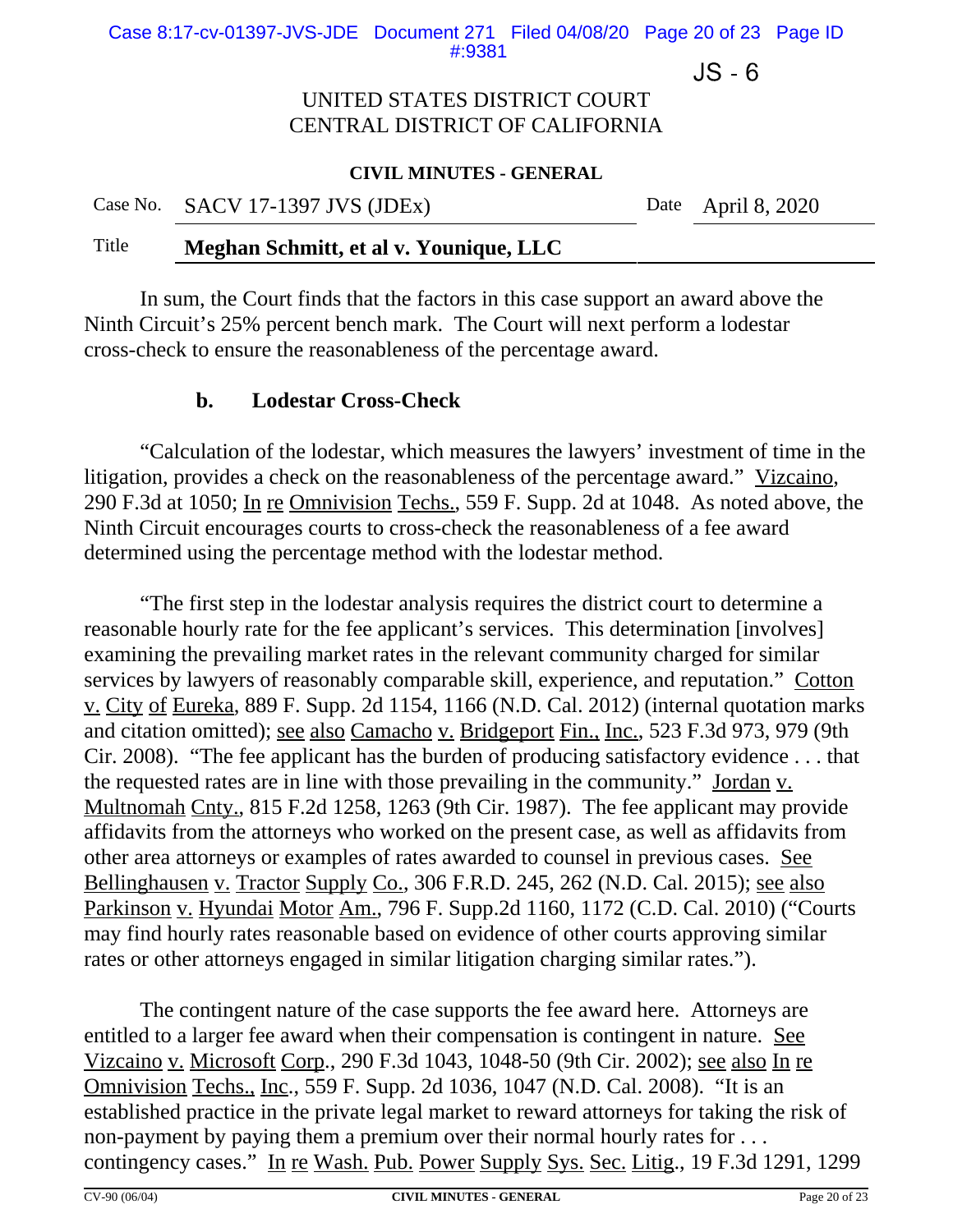Case 8:17-cv-01397-JVS-JDE Document 271 Filed 04/08/20 Page 20 of 23 Page ID #:9381

 $JS - 6$ 

### UNITED STATES DISTRICT COURT CENTRAL DISTRICT OF CALIFORNIA

#### **CIVIL MINUTES - GENERAL**

Case No. SACV 17-1397 JVS (JDEx) Date April 8, 2020

#### Title **Meghan Schmitt, et al v. Younique, LLC**

In sum, the Court finds that the factors in this case support an award above the Ninth Circuit's 25% percent bench mark. The Court will next perform a lodestar cross-check to ensure the reasonableness of the percentage award.

### **b. Lodestar Cross-Check**

"Calculation of the lodestar, which measures the lawyers' investment of time in the litigation, provides a check on the reasonableness of the percentage award." Vizcaino, 290 F.3d at 1050; In re Omnivision Techs., 559 F. Supp. 2d at 1048. As noted above, the Ninth Circuit encourages courts to cross-check the reasonableness of a fee award determined using the percentage method with the lodestar method.

"The first step in the lodestar analysis requires the district court to determine a reasonable hourly rate for the fee applicant's services. This determination [involves] examining the prevailing market rates in the relevant community charged for similar services by lawyers of reasonably comparable skill, experience, and reputation." Cotton v. City of Eureka, 889 F. Supp. 2d 1154, 1166 (N.D. Cal. 2012) (internal quotation marks and citation omitted); see also Camacho v. Bridgeport Fin., Inc., 523 F.3d 973, 979 (9th Cir. 2008). "The fee applicant has the burden of producing satisfactory evidence . . . that the requested rates are in line with those prevailing in the community." Jordan v. Multnomah Cnty., 815 F.2d 1258, 1263 (9th Cir. 1987). The fee applicant may provide affidavits from the attorneys who worked on the present case, as well as affidavits from other area attorneys or examples of rates awarded to counsel in previous cases. See Bellinghausen v. Tractor Supply Co., 306 F.R.D. 245, 262 (N.D. Cal. 2015); see also Parkinson v. Hyundai Motor Am., 796 F. Supp.2d 1160, 1172 (C.D. Cal. 2010) ("Courts may find hourly rates reasonable based on evidence of other courts approving similar rates or other attorneys engaged in similar litigation charging similar rates.").

The contingent nature of the case supports the fee award here. Attorneys are entitled to a larger fee award when their compensation is contingent in nature. See Vizcaino v. Microsoft Corp., 290 F.3d 1043, 1048-50 (9th Cir. 2002); see also In re Omnivision Techs., Inc., 559 F. Supp. 2d 1036, 1047 (N.D. Cal. 2008). "It is an established practice in the private legal market to reward attorneys for taking the risk of non-payment by paying them a premium over their normal hourly rates for . . . contingency cases." In re Wash. Pub. Power Supply Sys. Sec. Litig., 19 F.3d 1291, 1299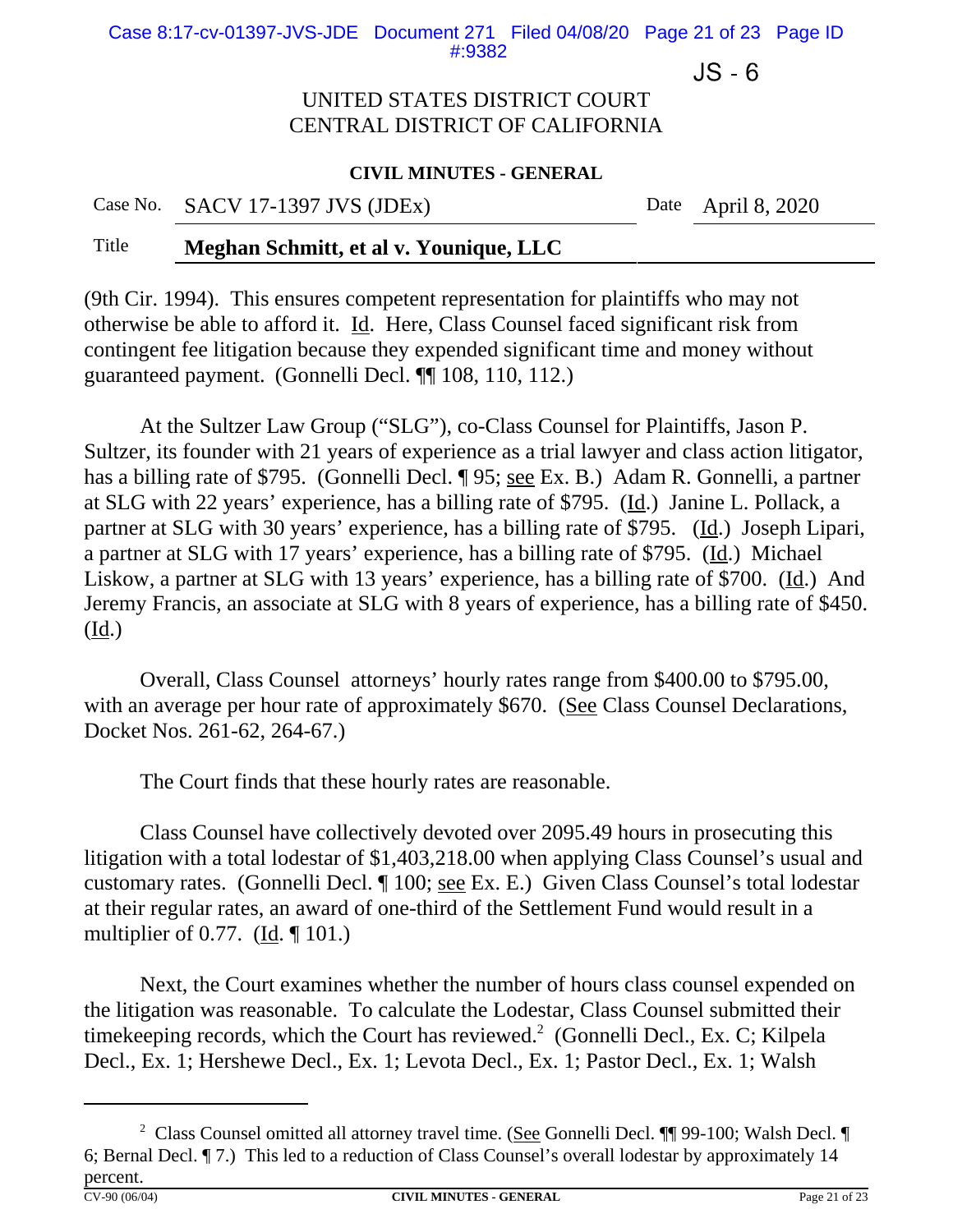Case 8:17-cv-01397-JVS-JDE Document 271 Filed 04/08/20 Page 21 of 23 Page ID #:9382

 $JS - 6$ 

### UNITED STATES DISTRICT COURT CENTRAL DISTRICT OF CALIFORNIA

#### **CIVIL MINUTES - GENERAL**

Case No. SACV 17-1397 JVS (JDEx) Date April 8, 2020

### Title **Meghan Schmitt, et al v. Younique, LLC**

(9th Cir. 1994). This ensures competent representation for plaintiffs who may not otherwise be able to afford it. Id. Here, Class Counsel faced significant risk from contingent fee litigation because they expended significant time and money without guaranteed payment. (Gonnelli Decl. ¶¶ 108, 110, 112.)

At the Sultzer Law Group ("SLG"), co-Class Counsel for Plaintiffs, Jason P. Sultzer, its founder with 21 years of experience as a trial lawyer and class action litigator, has a billing rate of \$795. (Gonnelli Decl. ¶ 95; <u>see</u> Ex. B.) Adam R. Gonnelli, a partner at SLG with 22 years' experience, has a billing rate of \$795. (Id.) Janine L. Pollack, a partner at SLG with 30 years' experience, has a billing rate of \$795. (Id.) Joseph Lipari, a partner at SLG with 17 years' experience, has a billing rate of \$795. (Id.) Michael Liskow, a partner at SLG with 13 years' experience, has a billing rate of \$700. (Id.) And Jeremy Francis, an associate at SLG with 8 years of experience, has a billing rate of \$450.  $(\underline{Id.})$ 

Overall, Class Counsel attorneys' hourly rates range from \$400.00 to \$795.00, with an average per hour rate of approximately \$670. (See Class Counsel Declarations, Docket Nos. 261-62, 264-67.)

The Court finds that these hourly rates are reasonable.

Class Counsel have collectively devoted over 2095.49 hours in prosecuting this litigation with a total lodestar of \$1,403,218.00 when applying Class Counsel's usual and customary rates. (Gonnelli Decl. ¶ 100; see Ex. E.) Given Class Counsel's total lodestar at their regular rates, an award of one-third of the Settlement Fund would result in a multiplier of 0.77. (Id. ¶ 101.)

Next, the Court examines whether the number of hours class counsel expended on the litigation was reasonable. To calculate the Lodestar, Class Counsel submitted their timekeeping records, which the Court has reviewed. $2 \text{ (Gonnelli Decl., Ex. C; Kilpela)}$ Decl., Ex. 1; Hershewe Decl., Ex. 1; Levota Decl., Ex. 1; Pastor Decl., Ex. 1; Walsh

<sup>&</sup>lt;sup>2</sup> Class Counsel omitted all attorney travel time. (See Gonnelli Decl. ¶¶ 99-100; Walsh Decl. 6; Bernal Decl. ¶ 7.) This led to a reduction of Class Counsel's overall lodestar by approximately 14 percent.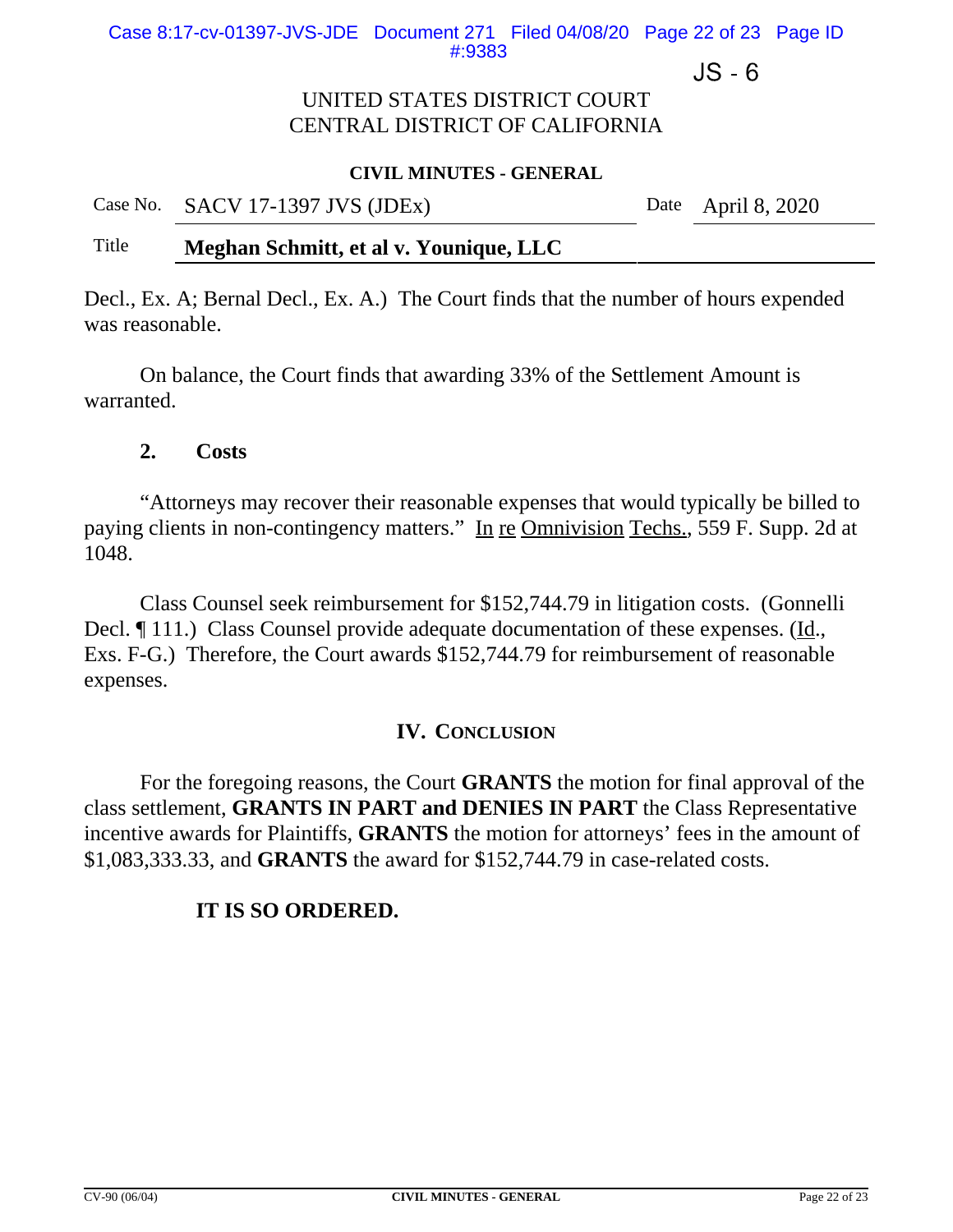$JS - 6$ 

## UNITED STATES DISTRICT COURT CENTRAL DISTRICT OF CALIFORNIA

#### **CIVIL MINUTES - GENERAL**

| Case No. SACV 17-1397 JVS (JDEx) | Date April 8, 2020 |
|----------------------------------|--------------------|
|                                  |                    |

## Title **Meghan Schmitt, et al v. Younique, LLC**

Decl., Ex. A; Bernal Decl., Ex. A.) The Court finds that the number of hours expended was reasonable.

On balance, the Court finds that awarding 33% of the Settlement Amount is warranted.

#### **2. Costs**

"Attorneys may recover their reasonable expenses that would typically be billed to paying clients in non-contingency matters." In re Omnivision Techs., 559 F. Supp. 2d at 1048.

Class Counsel seek reimbursement for \$152,744.79 in litigation costs. (Gonnelli Decl.  $\P$  111.) Class Counsel provide adequate documentation of these expenses. (Id., Exs. F-G.) Therefore, the Court awards \$152,744.79 for reimbursement of reasonable expenses.

#### **IV. CONCLUSION**

For the foregoing reasons, the Court **GRANTS** the motion for final approval of the class settlement, **GRANTS IN PART and DENIES IN PART** the Class Representative incentive awards for Plaintiffs, **GRANTS** the motion for attorneys' fees in the amount of \$1,083,333.33, and **GRANTS** the award for \$152,744.79 in case-related costs.

## **IT IS SO ORDERED.**